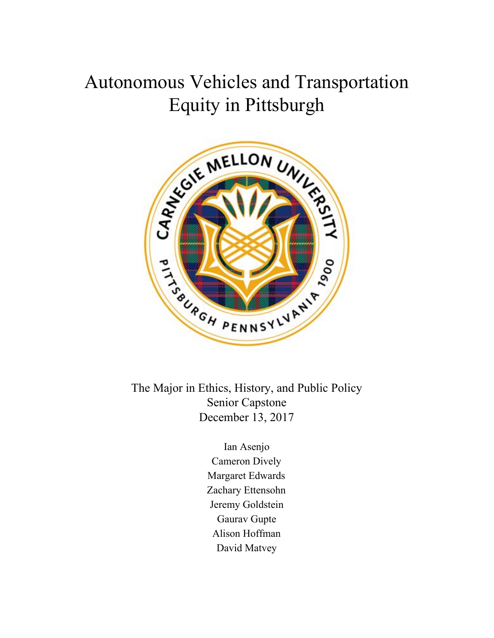# Autonomous Vehicles and Transportation Equity in Pittsburgh



The Major in Ethics, History, and Public Policy Senior Capstone December 13, 2017

> Ian Asenjo Cameron Dively Margaret Edwards Zachary Ettensohn Jeremy Goldstein Gaurav Gupte Alison Hoffman David Matvey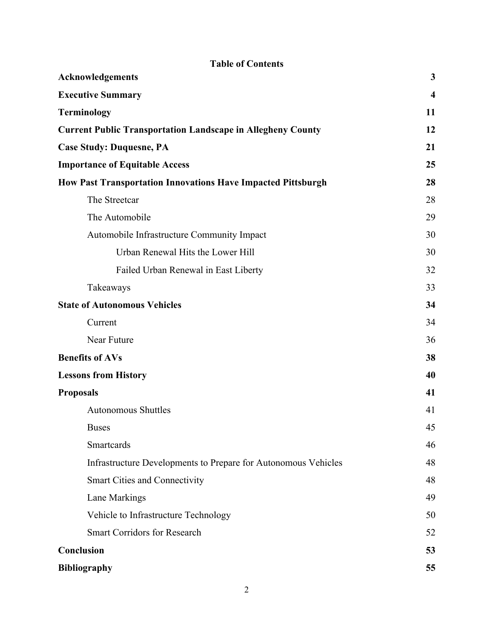| <b>Table of Contents</b>                                            |                         |  |  |  |  |  |
|---------------------------------------------------------------------|-------------------------|--|--|--|--|--|
| <b>Acknowledgements</b>                                             | 3                       |  |  |  |  |  |
| <b>Executive Summary</b>                                            | $\overline{\mathbf{4}}$ |  |  |  |  |  |
| <b>Terminology</b>                                                  | 11                      |  |  |  |  |  |
| <b>Current Public Transportation Landscape in Allegheny County</b>  | 12                      |  |  |  |  |  |
| <b>Case Study: Duquesne, PA</b>                                     | 21                      |  |  |  |  |  |
| <b>Importance of Equitable Access</b>                               | 25                      |  |  |  |  |  |
| <b>How Past Transportation Innovations Have Impacted Pittsburgh</b> | 28                      |  |  |  |  |  |
| The Streetcar                                                       | 28                      |  |  |  |  |  |
| The Automobile                                                      | 29                      |  |  |  |  |  |
| Automobile Infrastructure Community Impact                          | 30                      |  |  |  |  |  |
| Urban Renewal Hits the Lower Hill                                   | 30                      |  |  |  |  |  |
| Failed Urban Renewal in East Liberty                                | 32                      |  |  |  |  |  |
| Takeaways                                                           | 33                      |  |  |  |  |  |
| <b>State of Autonomous Vehicles</b>                                 | 34                      |  |  |  |  |  |
| Current                                                             | 34                      |  |  |  |  |  |
| Near Future                                                         | 36                      |  |  |  |  |  |
| <b>Benefits of AVs</b>                                              | 38                      |  |  |  |  |  |
| <b>Lessons from History</b>                                         | 40                      |  |  |  |  |  |
| <b>Proposals</b>                                                    | 41                      |  |  |  |  |  |
| <b>Autonomous Shuttles</b>                                          | 41                      |  |  |  |  |  |
| <b>Buses</b>                                                        | 45                      |  |  |  |  |  |
| Smartcards                                                          | 46                      |  |  |  |  |  |
| Infrastructure Developments to Prepare for Autonomous Vehicles      | 48                      |  |  |  |  |  |
| <b>Smart Cities and Connectivity</b>                                | 48                      |  |  |  |  |  |
| Lane Markings                                                       | 49                      |  |  |  |  |  |
| Vehicle to Infrastructure Technology                                | 50                      |  |  |  |  |  |
| <b>Smart Corridors for Research</b>                                 | 52                      |  |  |  |  |  |
| Conclusion                                                          | 53                      |  |  |  |  |  |
| <b>Bibliography</b>                                                 | 55                      |  |  |  |  |  |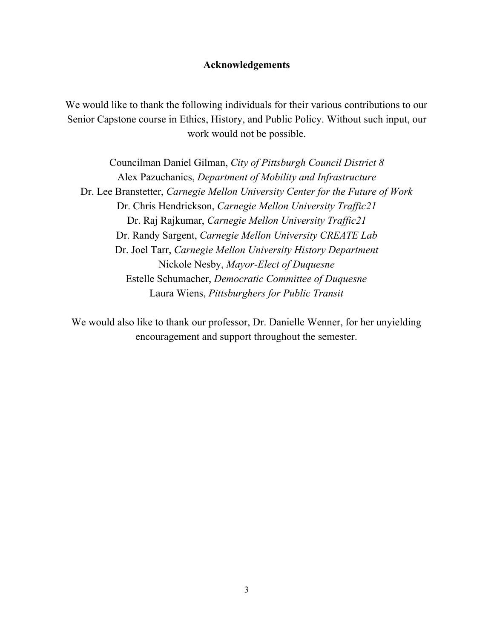# **Acknowledgements**

We would like to thank the following individuals for their various contributions to our Senior Capstone course in Ethics, History, and Public Policy. Without such input, our work would not be possible.

Councilman Daniel Gilman, *City of Pittsburgh Council District 8* Alex Pazuchanics, *Department of Mobility and Infrastructure* Dr. Lee Branstetter, *Carnegie Mellon University Center for the Future of Work* Dr. Chris Hendrickson, *Carnegie Mellon University Traffic21* Dr. Raj Rajkumar, *Carnegie Mellon University Traf ic21* Dr. Randy Sargent, *Carnegie Mellon University CREATE Lab* Dr. Joel Tarr, *Carnegie Mellon University History Department* Nickole Nesby, *Mayor-Elect of Duquesne* Estelle Schumacher, *Democratic Committee of Duquesne* Laura Wiens, *Pittsburghers for Public Transit*

We would also like to thank our professor, Dr. Danielle Wenner, for her unyielding encouragement and support throughout the semester.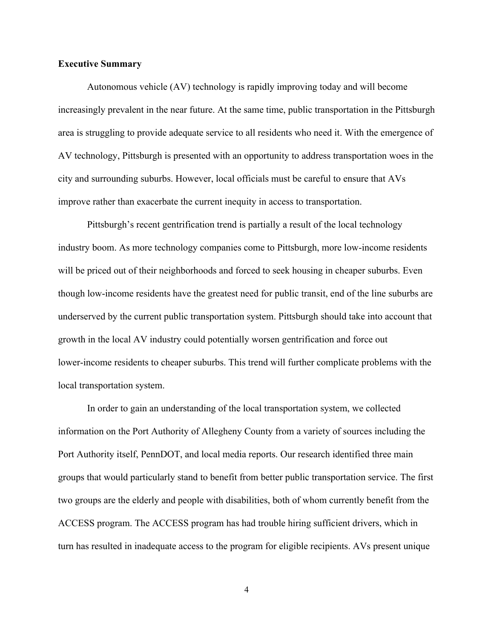### **Executive Summary**

Autonomous vehicle (AV) technology is rapidly improving today and will become increasingly prevalent in the near future. At the same time, public transportation in the Pittsburgh area is struggling to provide adequate service to all residents who need it. With the emergence of AV technology, Pittsburgh is presented with an opportunity to address transportation woes in the city and surrounding suburbs. However, local officials must be careful to ensure that AVs improve rather than exacerbate the current inequity in access to transportation.

Pittsburgh's recent gentrification trend is partially a result of the local technology industry boom. As more technology companies come to Pittsburgh, more low-income residents will be priced out of their neighborhoods and forced to seek housing in cheaper suburbs. Even though low-income residents have the greatest need for public transit, end of the line suburbs are underserved by the current public transportation system. Pittsburgh should take into account that growth in the local AV industry could potentially worsen gentrification and force out lower-income residents to cheaper suburbs. This trend will further complicate problems with the local transportation system.

In order to gain an understanding of the local transportation system, we collected information on the Port Authority of Allegheny County from a variety of sources including the Port Authority itself, PennDOT, and local media reports. Our research identified three main groups that would particularly stand to benefit from better public transportation service. The first two groups are the elderly and people with disabilities, both of whom currently benefit from the ACCESS program. The ACCESS program has had trouble hiring sufficient drivers, which in turn has resulted in inadequate access to the program for eligible recipients. AVs present unique

4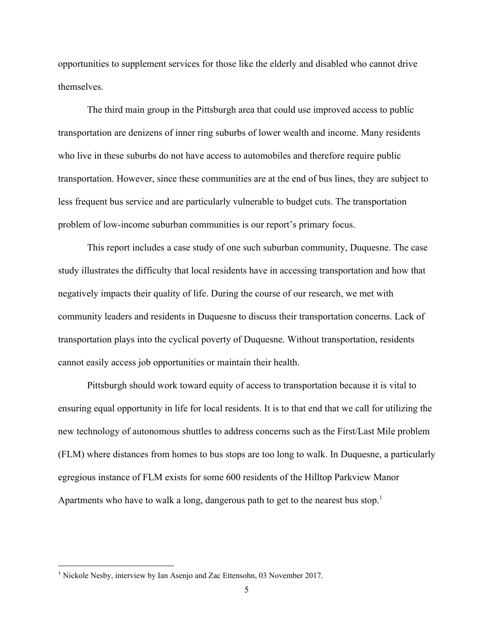opportunities to supplement services for those like the elderly and disabled who cannot drive themselves.

The third main group in the Pittsburgh area that could use improved access to public transportation are denizens of inner ring suburbs of lower wealth and income. Many residents who live in these suburbs do not have access to automobiles and therefore require public transportation. However, since these communities are at the end of bus lines, they are subject to less frequent bus service and are particularly vulnerable to budget cuts. The transportation problem of low-income suburban communities is our report's primary focus.

This report includes a case study of one such suburban community, Duquesne. The case study illustrates the difficulty that local residents have in accessing transportation and how that negatively impacts their quality of life. During the course of our research, we met with community leaders and residents in Duquesne to discuss their transportation concerns. Lack of transportation plays into the cyclical poverty of Duquesne. Without transportation, residents cannot easily access job opportunities or maintain their health.

Pittsburgh should work toward equity of access to transportation because it is vital to ensuring equal opportunity in life for local residents. It is to that end that we call for utilizing the new technology of autonomous shuttles to address concerns such as the First/Last Mile problem (FLM) where distances from homes to bus stops are too long to walk. In Duquesne, a particularly egregious instance of FLM exists for some 600 residents of the Hilltop Parkview Manor Apartments who have to walk a long, dangerous path to get to the nearest bus stop.<sup>1</sup>

<sup>1</sup> Nickole Nesby, interview by Ian Asenjo and Zac Ettensohn, 03 November 2017.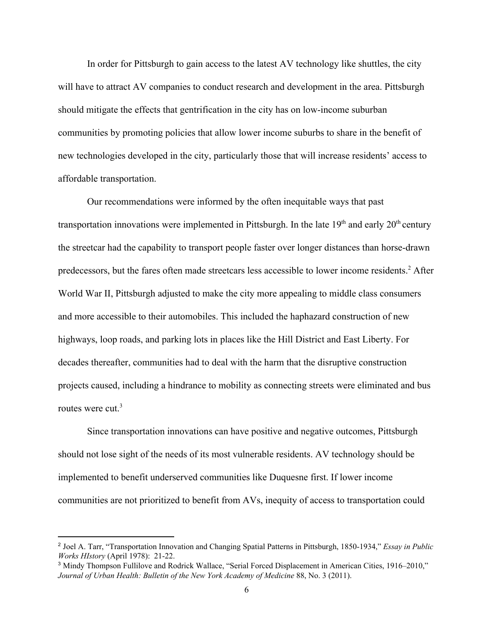In order for Pittsburgh to gain access to the latest AV technology like shuttles, the city will have to attract AV companies to conduct research and development in the area. Pittsburgh should mitigate the effects that gentrification in the city has on low-income suburban communities by promoting policies that allow lower income suburbs to share in the benefit of new technologies developed in the city, particularly those that will increase residents' access to affordable transportation.

Our recommendations were informed by the often inequitable ways that past transportation innovations were implemented in Pittsburgh. In the late  $19<sup>th</sup>$  and early  $20<sup>th</sup>$  century the streetcar had the capability to transport people faster over longer distances than horse-drawn predecessors, but the fares often made streetcars less accessible to lower income residents.<sup>2</sup> After World War II, Pittsburgh adjusted to make the city more appealing to middle class consumers and more accessible to their automobiles. This included the haphazard construction of new highways, loop roads, and parking lots in places like the Hill District and East Liberty. For decades thereafter, communities had to deal with the harm that the disruptive construction projects caused, including a hindrance to mobility as connecting streets were eliminated and bus routes were cut.<sup>3</sup>

Since transportation innovations can have positive and negative outcomes, Pittsburgh should not lose sight of the needs of its most vulnerable residents. AV technology should be implemented to benefit underserved communities like Duquesne first. If lower income communities are not prioritized to benefit from AVs, inequity of access to transportation could

<sup>2</sup> Joel A. Tarr, "Transportation Innovation and Changing Spatial Patterns in Pittsburgh, 1850-1934," *Essay in Public Works HIstory* (April 1978): 21-22.

<sup>&</sup>lt;sup>3</sup> Mindy Thompson Fullilove and Rodrick Wallace, "Serial Forced Displacement in American Cities, 1916–2010," *Journal of Urban Health: Bulletin of the New York Academy of Medicine* 88, No. 3 (2011).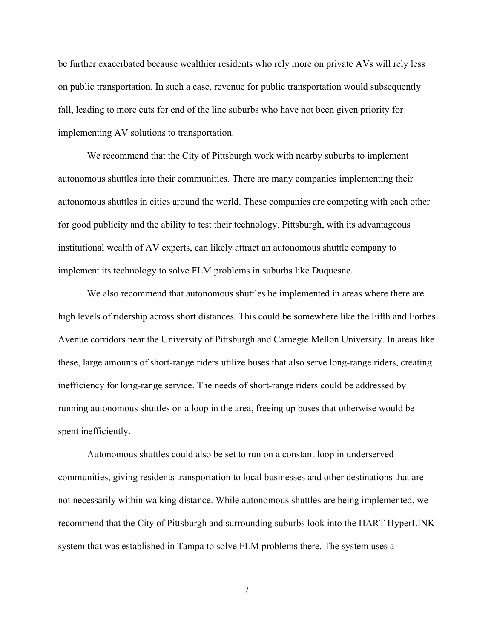be further exacerbated because wealthier residents who rely more on private AVs will rely less on public transportation. In such a case, revenue for public transportation would subsequently fall, leading to more cuts for end of the line suburbs who have not been given priority for implementing AV solutions to transportation.

We recommend that the City of Pittsburgh work with nearby suburbs to implement autonomous shuttles into their communities. There are many companies implementing their autonomous shuttles in cities around the world. These companies are competing with each other for good publicity and the ability to test their technology. Pittsburgh, with its advantageous institutional wealth of AV experts, can likely attract an autonomous shuttle company to implement its technology to solve FLM problems in suburbs like Duquesne.

We also recommend that autonomous shuttles be implemented in areas where there are high levels of ridership across short distances. This could be somewhere like the Fifth and Forbes Avenue corridors near the University of Pittsburgh and Carnegie Mellon University. In areas like these, large amounts of short-range riders utilize buses that also serve long-range riders, creating inefficiency for long-range service. The needs of short-range riders could be addressed by running autonomous shuttles on a loop in the area, freeing up buses that otherwise would be spent inefficiently.

Autonomous shuttles could also be set to run on a constant loop in underserved communities, giving residents transportation to local businesses and other destinations that are not necessarily within walking distance. While autonomous shuttles are being implemented, we recommend that the City of Pittsburgh and surrounding suburbs look into the HART HyperLINK system that was established in Tampa to solve FLM problems there. The system uses a

7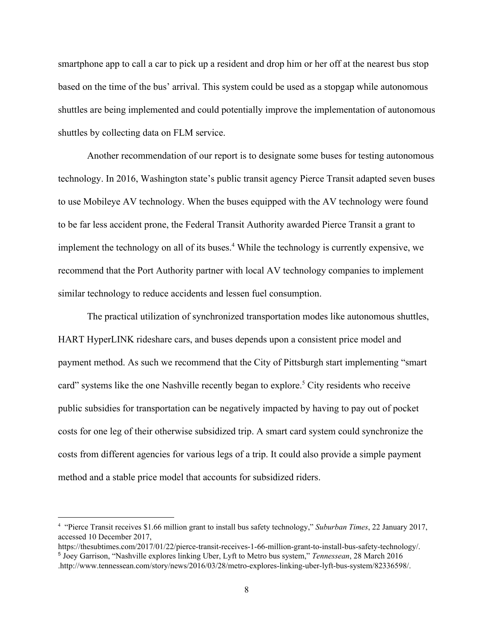smartphone app to call a car to pick up a resident and drop him or her off at the nearest bus stop based on the time of the bus' arrival. This system could be used as a stopgap while autonomous shuttles are being implemented and could potentially improve the implementation of autonomous shuttles by collecting data on FLM service.

Another recommendation of our report is to designate some buses for testing autonomous technology. In 2016, Washington state's public transit agency Pierce Transit adapted seven buses to use Mobileye AV technology. When the buses equipped with the AV technology were found to be far less accident prone, the Federal Transit Authority awarded Pierce Transit a grant to implement the technology on all of its buses.<sup>4</sup> While the technology is currently expensive, we recommend that the Port Authority partner with local AV technology companies to implement similar technology to reduce accidents and lessen fuel consumption.

The practical utilization of synchronized transportation modes like autonomous shuttles, HART HyperLINK rideshare cars, and buses depends upon a consistent price model and payment method. As such we recommend that the City of Pittsburgh start implementing "smart card" systems like the one Nashville recently began to explore.<sup>5</sup> City residents who receive public subsidies for transportation can be negatively impacted by having to pay out of pocket costs for one leg of their otherwise subsidized trip. A smart card system could synchronize the costs from different agencies for various legs of a trip. It could also provide a simple payment method and a stable price model that accounts for subsidized riders.

<sup>4</sup> "Pierce Transit receives \$1.66 million grant to install bus safety technology," *Suburban Times*, 22 January 2017, accessed 10 December 2017,

https://thesubtimes.com/2017/01/22/pierce-transit-receives-1-66-million-grant-to-install-bus-safety-technology/. <sup>5</sup> Joey Garrison, "Nashville explores linking Uber, Lyft to Metro bus system," *Tennessean*, 28 March 2016 .http://www.tennessean.com/story/news/2016/03/28/metro-explores-linking-uber-lyft-bus-system/82336598/.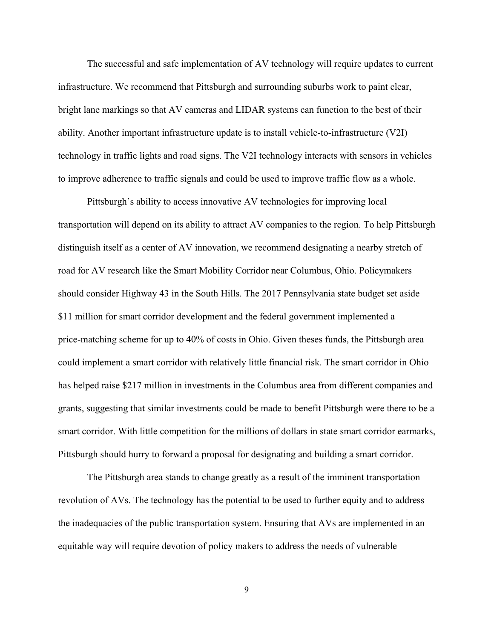The successful and safe implementation of AV technology will require updates to current infrastructure. We recommend that Pittsburgh and surrounding suburbs work to paint clear, bright lane markings so that AV cameras and LIDAR systems can function to the best of their ability. Another important infrastructure update is to install vehicle-to-infrastructure (V2I) technology in traffic lights and road signs. The V2I technology interacts with sensors in vehicles to improve adherence to traffic signals and could be used to improve traffic flow as a whole.

Pittsburgh's ability to access innovative AV technologies for improving local transportation will depend on its ability to attract AV companies to the region. To help Pittsburgh distinguish itself as a center of AV innovation, we recommend designating a nearby stretch of road for AV research like the Smart Mobility Corridor near Columbus, Ohio. Policymakers should consider Highway 43 in the South Hills. The 2017 Pennsylvania state budget set aside \$11 million for smart corridor development and the federal government implemented a price-matching scheme for up to 40% of costs in Ohio. Given theses funds, the Pittsburgh area could implement a smart corridor with relatively little financial risk. The smart corridor in Ohio has helped raise \$217 million in investments in the Columbus area from different companies and grants, suggesting that similar investments could be made to benefit Pittsburgh were there to be a smart corridor. With little competition for the millions of dollars in state smart corridor earmarks, Pittsburgh should hurry to forward a proposal for designating and building a smart corridor.

The Pittsburgh area stands to change greatly as a result of the imminent transportation revolution of AVs. The technology has the potential to be used to further equity and to address the inadequacies of the public transportation system. Ensuring that AVs are implemented in an equitable way will require devotion of policy makers to address the needs of vulnerable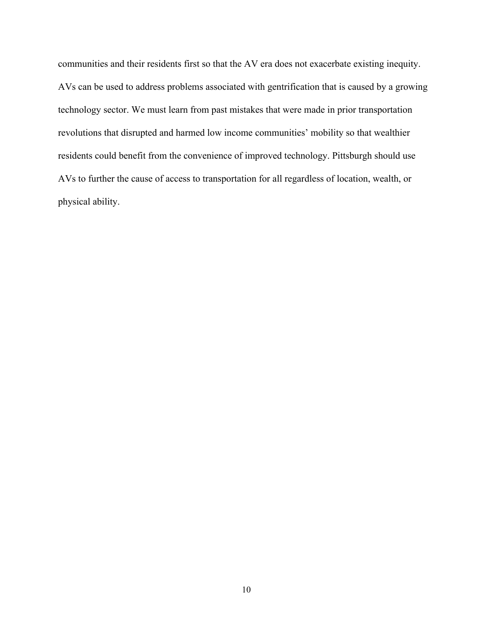communities and their residents first so that the AV era does not exacerbate existing inequity. AVs can be used to address problems associated with gentrification that is caused by a growing technology sector. We must learn from past mistakes that were made in prior transportation revolutions that disrupted and harmed low income communities' mobility so that wealthier residents could benefit from the convenience of improved technology. Pittsburgh should use AVs to further the cause of access to transportation for all regardless of location, wealth, or physical ability.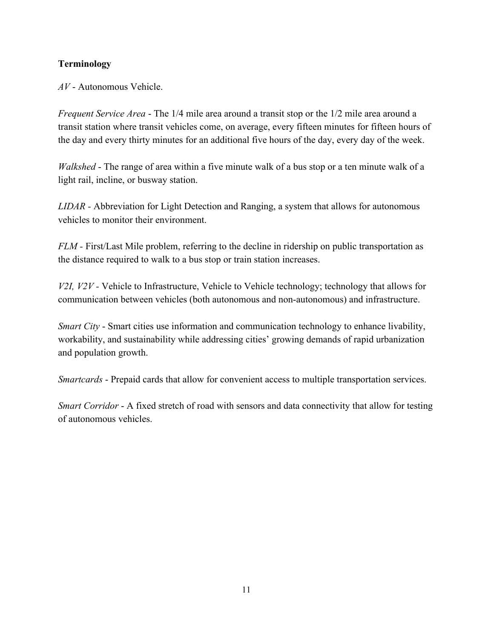# **Terminology**

*AV* - Autonomous Vehicle.

*Frequent Service Area* - The 1/4 mile area around a transit stop or the 1/2 mile area around a transit station where transit vehicles come, on average, every fifteen minutes for fifteen hours of the day and every thirty minutes for an additional five hours of the day, every day of the week.

*Walkshed* - The range of area within a five minute walk of a bus stop or a ten minute walk of a light rail, incline, or busway station.

*LIDAR -* Abbreviation for Light Detection and Ranging, a system that allows for autonomous vehicles to monitor their environment.

*FLM* - First/Last Mile problem, referring to the decline in ridership on public transportation as the distance required to walk to a bus stop or train station increases.

*V2I, V2V -* Vehicle to Infrastructure, Vehicle to Vehicle technology; technology that allows for communication between vehicles (both autonomous and non-autonomous) and infrastructure.

*Smart City* - Smart cities use information and communication technology to enhance livability, workability, and sustainability while addressing cities' growing demands of rapid urbanization and population growth.

*Smartcards* - Prepaid cards that allow for convenient access to multiple transportation services.

*Smart Corridor* - A fixed stretch of road with sensors and data connectivity that allow for testing of autonomous vehicles.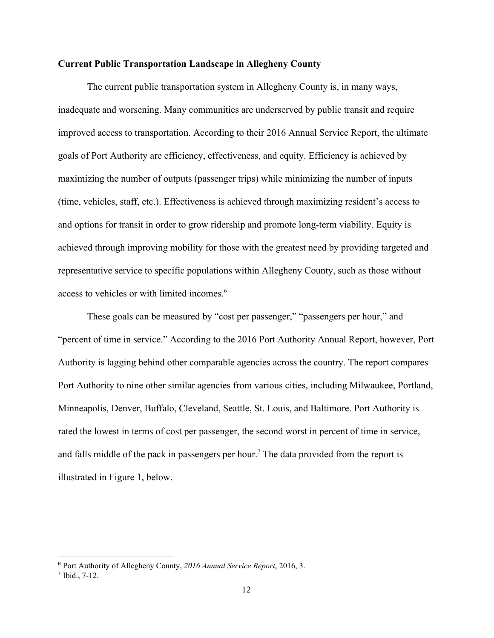#### **Current Public Transportation Landscape in Allegheny County**

 The current public transportation system in Allegheny County is, in many ways, inadequate and worsening. Many communities are underserved by public transit and require improved access to transportation. According to their 2016 Annual Service Report, the ultimate goals of Port Authority are efficiency, effectiveness, and equity. Efficiency is achieved by maximizing the number of outputs (passenger trips) while minimizing the number of inputs (time, vehicles, staff, etc.). Effectiveness is achieved through maximizing resident's access to and options for transit in order to grow ridership and promote long-term viability. Equity is achieved through improving mobility for those with the greatest need by providing targeted and representative service to specific populations within Allegheny County, such as those without access to vehicles or with limited incomes.<sup>6</sup>

These goals can be measured by "cost per passenger," "passengers per hour," and "percent of time in service." According to the 2016 Port Authority Annual Report, however, Port Authority is lagging behind other comparable agencies across the country. The report compares Port Authority to nine other similar agencies from various cities, including Milwaukee, Portland, Minneapolis, Denver, Buffalo, Cleveland, Seattle, St. Louis, and Baltimore. Port Authority is rated the lowest in terms of cost per passenger, the second worst in percent of time in service, and falls middle of the pack in passengers per hour.<sup>7</sup> The data provided from the report is illustrated in Figure 1, below.

<sup>6</sup> Port Authority of Allegheny County, *2016 Annual Service Report*, 2016, 3.

<sup>7</sup> Ibid., 7-12.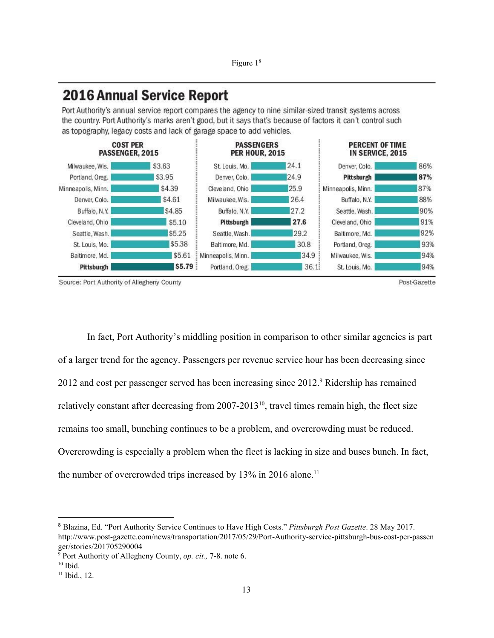# **2016 Annual Service Report**

Port Authority's annual service report compares the agency to nine similar-sized transit systems across the country. Port Authority's marks aren't good, but it says that's because of factors it can't control such as topography, legacy costs and lack of garage space to add vehicles.



Source: Port Authority of Allegheny County

Post-Gazette

In fact, Port Authority's middling position in comparison to other similar agencies is part of a larger trend for the agency. Passengers per revenue service hour has been decreasing since 2012 and cost per passenger served has been increasing since 2012.<sup>9</sup> Ridership has remained relatively constant after decreasing from  $2007-2013^{10}$ , travel times remain high, the fleet size remains too small, bunching continues to be a problem, and overcrowding must be reduced. Overcrowding is especially a problem when the fleet is lacking in size and buses bunch. In fact, the number of overcrowded trips increased by  $13\%$  in 2016 alone.<sup>11</sup>

<sup>8</sup> Blazina, Ed. "Port Authority Service Continues to Have High Costs." *Pittsburgh Post Gazette*. 28 May 2017. http://www.post-gazette.com/news/transportation/2017/05/29/Port-Authority-service-pittsburgh-bus-cost-per-passen ger/stories/201705290004

<sup>9</sup> Port Authority of Allegheny County, *op. cit.,* 7-8. note 6.

 $10$  Ibid.

 $11$  Ibid., 12.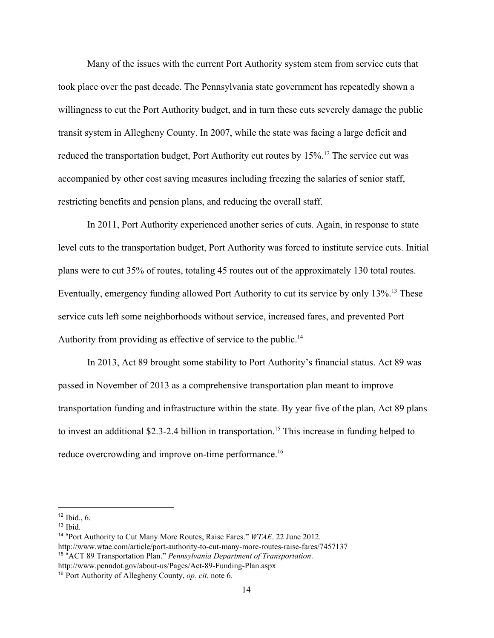Many of the issues with the current Port Authority system stem from service cuts that took place over the past decade. The Pennsylvania state government has repeatedly shown a willingness to cut the Port Authority budget, and in turn these cuts severely damage the public transit system in Allegheny County. In 2007, while the state was facing a large deficit and reduced the transportation budget, Port Authority cut routes by  $15\%$ .<sup>12</sup> The service cut was accompanied by other cost saving measures including freezing the salaries of senior staff, restricting benefits and pension plans, and reducing the overall staff.

In 2011, Port Authority experienced another series of cuts. Again, in response to state level cuts to the transportation budget, Port Authority was forced to institute service cuts. Initial plans were to cut 35% of routes, totaling 45 routes out of the approximately 130 total routes. Eventually, emergency funding allowed Port Authority to cut its service by only 13%.<sup>13</sup> These service cuts left some neighborhoods without service, increased fares, and prevented Port Authority from providing as effective of service to the public.<sup>14</sup>

In 2013, Act 89 brought some stability to Port Authority's financial status. Act 89 was passed in November of 2013 as a comprehensive transportation plan meant to improve transportation funding and infrastructure within the state. By year five of the plan, Act 89 plans to invest an additional \$2.3-2.4 billion in transportation.<sup>15</sup> This increase in funding helped to reduce overcrowding and improve on-time performance.<sup>16</sup>

 $12$  Ibid., 6.

 $13$  Ibid.

<sup>14</sup> "Port Authority to Cut Many More Routes, Raise Fares." *WTAE*. 22 June 2012. http://www.wtae.com/article/port-authority-to-cut-many-more-routes-raise-fares/7457137 15 "ACT 89 Transportation Plan." *Pennsylvania Department of Transportation*. http://www.penndot.gov/about-us/Pages/Act-89-Funding-Plan.aspx

<sup>16</sup> Port Authority of Allegheny County, *op. cit.* note 6.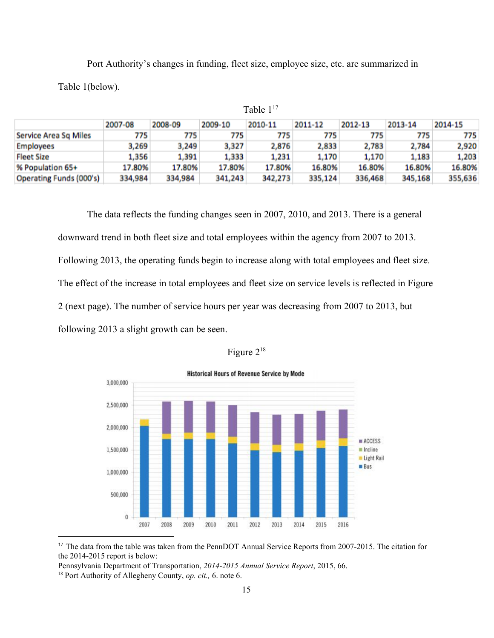Port Authority's changes in funding, fleet size, employee size, etc. are summarized in Table 1(below).

|                                | 2007-08 | 2008-09 | 2009-10 | 2010-11 | 2011-12 | 2012-13 | 2013-14 | 2014-15 |  |
|--------------------------------|---------|---------|---------|---------|---------|---------|---------|---------|--|
| Service Area Sq Miles          | 775     | 775     | 775     | 775     | 775     | 775     | 775     | 775     |  |
| <b>Employees</b>               | 3,269   | 3,249   | 3,327   | 2,876   | 2,833   | 2,783   | 2,784   | 2,920   |  |
| <b>Fleet Size</b>              | 1,356   | 1,391   | 1,333   | 1,231   | 1,170   | 1,170   | 1,183   | 1,203   |  |
| % Population 65+               | 17.80%  | 17.80%  | 17.80%  | 17.80%  | 16.80%  | 16.80%  | 16.80%  | 16.80%  |  |
| <b>Operating Funds (000's)</b> | 334,984 | 334,984 | 341,243 | 342,273 | 335,124 | 336,468 | 345,168 | 355,636 |  |

Table 1<sup>17</sup>

The data reflects the funding changes seen in 2007, 2010, and 2013. There is a general downward trend in both fleet size and total employees within the agency from 2007 to 2013. Following 2013, the operating funds begin to increase along with total employees and fleet size. The effect of the increase in total employees and fleet size on service levels is reflected in Figure 2 (next page). The number of service hours per year was decreasing from 2007 to 2013, but following 2013 a slight growth can be seen.

| rgure |  | 'N. |
|-------|--|-----|
|-------|--|-----|



<sup>&</sup>lt;sup>17</sup> The data from the table was taken from the PennDOT Annual Service Reports from 2007-2015. The citation for the 2014-2015 report is below:

Pennsylvania Department of Transportation, *2014-2015 Annual Service Report*, 2015, 66.

<sup>18</sup> Port Authority of Allegheny County, *op. cit.,* 6. note 6.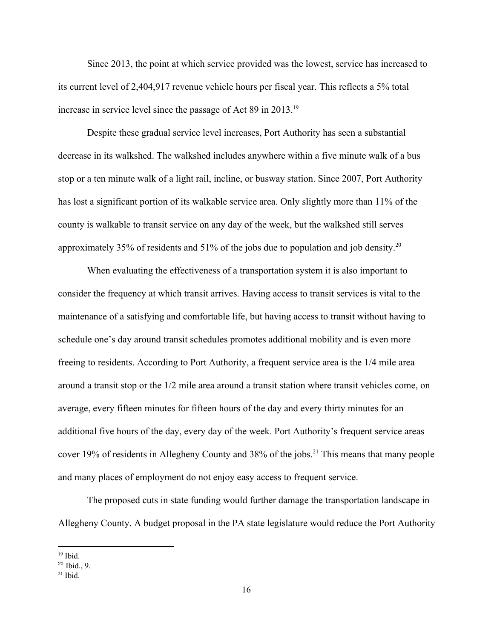Since 2013, the point at which service provided was the lowest, service has increased to its current level of 2,404,917 revenue vehicle hours per fiscal year. This reflects a 5% total increase in service level since the passage of Act 89 in 2013.<sup>19</sup>

Despite these gradual service level increases, Port Authority has seen a substantial decrease in its walkshed. The walkshed includes anywhere within a five minute walk of a bus stop or a ten minute walk of a light rail, incline, or busway station. Since 2007, Port Authority has lost a significant portion of its walkable service area. Only slightly more than 11% of the county is walkable to transit service on any day of the week, but the walkshed still serves approximately 35% of residents and 51% of the jobs due to population and job density.<sup>20</sup>

When evaluating the effectiveness of a transportation system it is also important to consider the frequency at which transit arrives. Having access to transit services is vital to the maintenance of a satisfying and comfortable life, but having access to transit without having to schedule one's day around transit schedules promotes additional mobility and is even more freeing to residents. According to Port Authority, a frequent service area is the 1/4 mile area around a transit stop or the 1/2 mile area around a transit station where transit vehicles come, on average, every fifteen minutes for fifteen hours of the day and every thirty minutes for an additional five hours of the day, every day of the week. Port Authority's frequent service areas cover 19% of residents in Allegheny County and  $38\%$  of the jobs.<sup>21</sup> This means that many people and many places of employment do not enjoy easy access to frequent service.

The proposed cuts in state funding would further damage the transportation landscape in Allegheny County. A budget proposal in the PA state legislature would reduce the Port Authority

 $19$  Ibid.

<sup>20</sup> Ibid., 9.

 $21$  Ibid.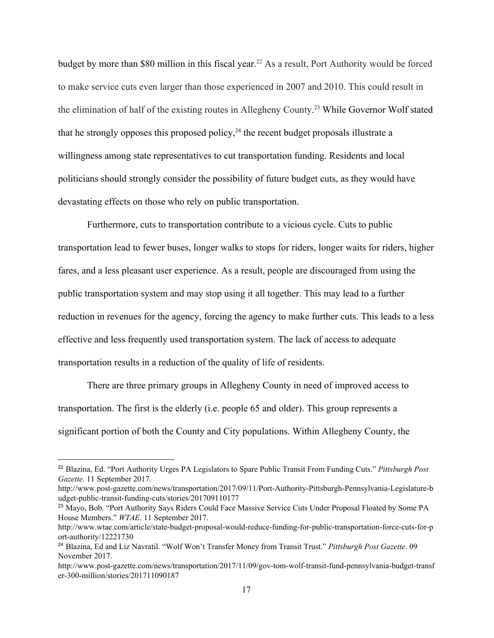budget by more than \$80 million in this fiscal year.<sup>22</sup> As a result, Port Authority would be forced to make service cuts even larger than those experienced in 2007 and 2010. This could result in the elimination of half of the existing routes in Allegheny County.<sup>23</sup> While Governor Wolf stated that he strongly opposes this proposed policy,  $24$  the recent budget proposals illustrate a willingness among state representatives to cut transportation funding. Residents and local politicians should strongly consider the possibility of future budget cuts, as they would have devastating effects on those who rely on public transportation.

Furthermore, cuts to transportation contribute to a vicious cycle. Cuts to public transportation lead to fewer buses, longer walks to stops for riders, longer waits for riders, higher fares, and a less pleasant user experience. As a result, people are discouraged from using the public transportation system and may stop using it all together. This may lead to a further reduction in revenues for the agency, forcing the agency to make further cuts. This leads to a less effective and less frequently used transportation system. The lack of access to adequate transportation results in a reduction of the quality of life of residents.

 There are three primary groups in Allegheny County in need of improved access to transportation. The first is the elderly (i.e. people 65 and older). This group represents a significant portion of both the County and City populations. Within Allegheny County, the

<sup>22</sup> Blazina, Ed. "Port Authority Urges PA Legislators to Spare Public Transit From Funding Cuts." *Pittsburgh Post Gazette*. 11 September 2017.

http://www.post-gazette.com/news/transportation/2017/09/11/Port-Authority-Pittsburgh-Pennsylvania-Legislature-b udget-public-transit-funding-cuts/stories/201709110177

<sup>&</sup>lt;sup>23</sup> Mayo, Bob. "Port Authority Says Riders Could Face Massive Service Cuts Under Proposal Floated by Some PA House Members." *WTAE*. 11 September 2017.

http://www.wtae.com/article/state-budget-proposal-would-reduce-funding-for-public-transportation-force-cuts-for-p ort-authority/12221730

<sup>24</sup> Blazina, Ed and Liz Navratil. "Wolf Won't Transfer Money from Transit Trust." *Pittsburgh Post Gazette*. 09 November 2017.

http://www.post-gazette.com/news/transportation/2017/11/09/gov-tom-wolf-transit-fund-pennsylvania-budget-transf er-300-million/stories/201711090187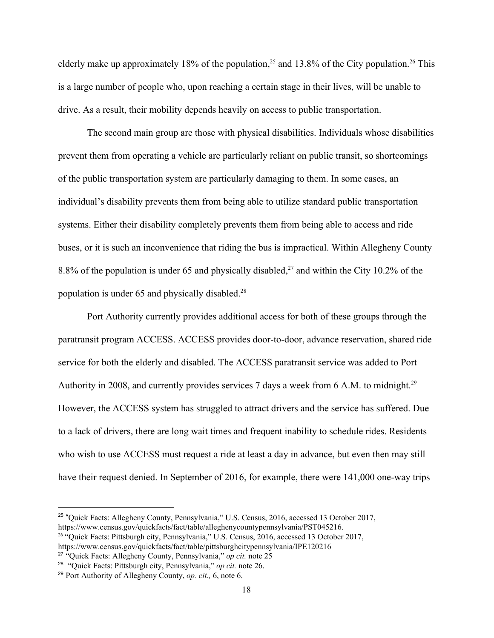elderly make up approximately 18% of the population,  $2<sup>5</sup>$  and 13.8% of the City population.  $2<sup>6</sup>$  This is a large number of people who, upon reaching a certain stage in their lives, will be unable to drive. As a result, their mobility depends heavily on access to public transportation.

The second main group are those with physical disabilities. Individuals whose disabilities prevent them from operating a vehicle are particularly reliant on public transit, so shortcomings of the public transportation system are particularly damaging to them. In some cases, an individual's disability prevents them from being able to utilize standard public transportation systems. Either their disability completely prevents them from being able to access and ride buses, or it is such an inconvenience that riding the bus is impractical. Within Allegheny County 8.8% of the population is under 65 and physically disabled,<sup>27</sup> and within the City 10.2% of the population is under 65 and physically disabled.<sup>28</sup>

Port Authority currently provides additional access for both of these groups through the paratransit program ACCESS. ACCESS provides door-to-door, advance reservation, shared ride service for both the elderly and disabled. The ACCESS paratransit service was added to Port Authority in 2008, and currently provides services 7 days a week from 6 A.M. to midnight.<sup>29</sup> However, the ACCESS system has struggled to attract drivers and the service has suffered. Due to a lack of drivers, there are long wait times and frequent inability to schedule rides. Residents who wish to use ACCESS must request a ride at least a day in advance, but even then may still have their request denied. In September of 2016, for example, there were 141,000 one-way trips

<sup>&</sup>lt;sup>25</sup> "Quick Facts: Allegheny County, Pennsylvania," U.S. Census, 2016, accessed 13 October 2017, https://www.census.gov/quickfacts/fact/table/alleghenycountypennsylvania/PST045216.

<sup>&</sup>lt;sup>26</sup> "Quick Facts: Pittsburgh city, Pennsylvania," U.S. Census, 2016, accessed 13 October 2017,

https://www.census.gov/quickfacts/fact/table/pittsburghcitypennsylvania/IPE120216

<sup>27</sup> "Quick Facts: Allegheny County, Pennsylvania," *op cit.* note 25

<sup>28</sup> "Quick Facts: Pittsburgh city, Pennsylvania," *op cit.* note 26.

<sup>29</sup> Port Authority of Allegheny County, *op. cit.,* 6, note 6.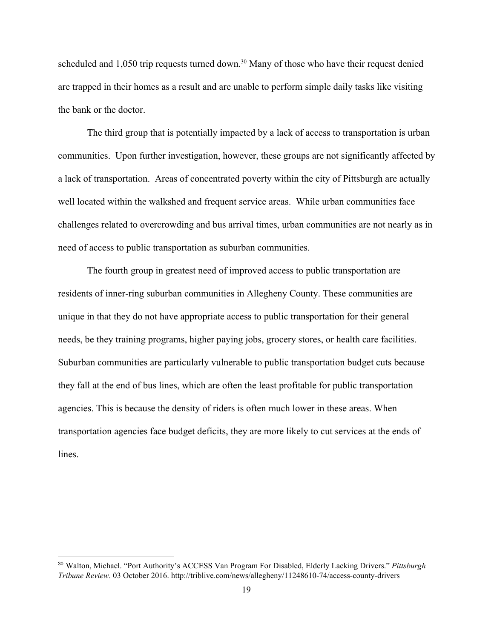scheduled and  $1,050$  trip requests turned down.<sup>30</sup> Many of those who have their request denied are trapped in their homes as a result and are unable to perform simple daily tasks like visiting the bank or the doctor.

The third group that is potentially impacted by a lack of access to transportation is urban communities. Upon further investigation, however, these groups are not significantly affected by a lack of transportation. Areas of concentrated poverty within the city of Pittsburgh are actually well located within the walkshed and frequent service areas. While urban communities face challenges related to overcrowding and bus arrival times, urban communities are not nearly as in need of access to public transportation as suburban communities.

The fourth group in greatest need of improved access to public transportation are residents of inner-ring suburban communities in Allegheny County. These communities are unique in that they do not have appropriate access to public transportation for their general needs, be they training programs, higher paying jobs, grocery stores, or health care facilities. Suburban communities are particularly vulnerable to public transportation budget cuts because they fall at the end of bus lines, which are often the least profitable for public transportation agencies. This is because the density of riders is often much lower in these areas. When transportation agencies face budget deficits, they are more likely to cut services at the ends of lines.

<sup>30</sup> Walton, Michael. "Port Authority's ACCESS Van Program For Disabled, Elderly Lacking Drivers." *Pittsburgh Tribune Review*. 03 October 2016. http://triblive.com/news/allegheny/11248610-74/access-county-drivers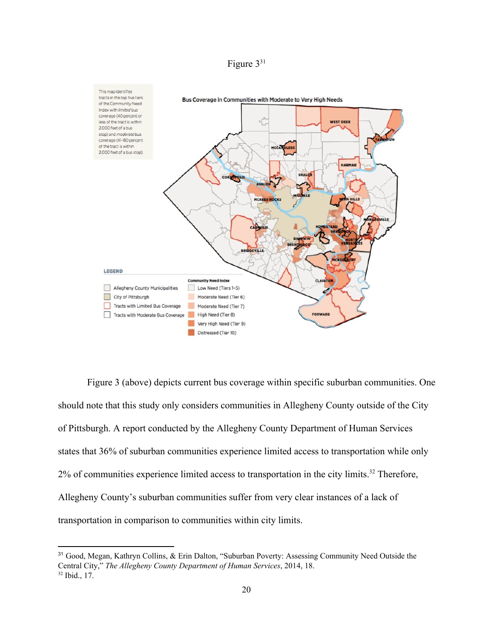



Figure 3 (above) depicts current bus coverage within specific suburban communities. One should note that this study only considers communities in Allegheny County outside of the City of Pittsburgh. A report conducted by the Allegheny County Department of Human Services states that 36% of suburban communities experience limited access to transportation while only  $2\%$  of communities experience limited access to transportation in the city limits.<sup>32</sup> Therefore, Allegheny County's suburban communities suffer from very clear instances of a lack of transportation in comparison to communities within city limits.

<sup>31</sup> Good, Megan, Kathryn Collins, & Erin Dalton, "Suburban Poverty: Assessing Community Need Outside the Central City," *The Allegheny County Department of Human Services*, 2014, 18.  $32$  Ibid., 17.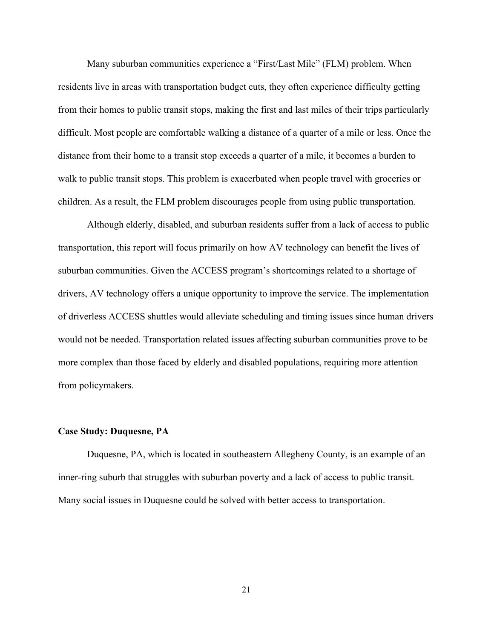Many suburban communities experience a "First/Last Mile" (FLM) problem. When residents live in areas with transportation budget cuts, they often experience difficulty getting from their homes to public transit stops, making the first and last miles of their trips particularly difficult. Most people are comfortable walking a distance of a quarter of a mile or less. Once the distance from their home to a transit stop exceeds a quarter of a mile, it becomes a burden to walk to public transit stops. This problem is exacerbated when people travel with groceries or children. As a result, the FLM problem discourages people from using public transportation.

Although elderly, disabled, and suburban residents suffer from a lack of access to public transportation, this report will focus primarily on how AV technology can benefit the lives of suburban communities. Given the ACCESS program's shortcomings related to a shortage of drivers, AV technology offers a unique opportunity to improve the service. The implementation of driverless ACCESS shuttles would alleviate scheduling and timing issues since human drivers would not be needed. Transportation related issues affecting suburban communities prove to be more complex than those faced by elderly and disabled populations, requiring more attention from policymakers.

#### **Case Study: Duquesne, PA**

Duquesne, PA, which is located in southeastern Allegheny County, is an example of an inner-ring suburb that struggles with suburban poverty and a lack of access to public transit. Many social issues in Duquesne could be solved with better access to transportation.

21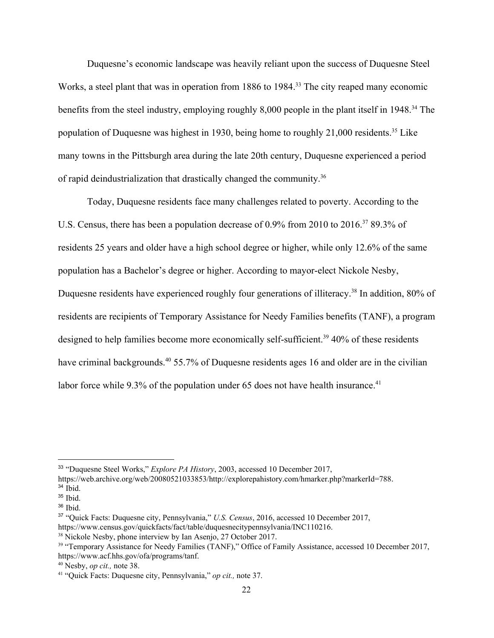Duquesne's economic landscape was heavily reliant upon the success of Duquesne Steel Works, a steel plant that was in operation from 1886 to 1984.<sup>33</sup> The city reaped many economic benefits from the steel industry, employing roughly 8,000 people in the plant itself in 1948.<sup>34</sup> The population of Duquesne was highest in 1930, being home to roughly  $21,000$  residents.<sup>35</sup> Like many towns in the Pittsburgh area during the late 20th century, Duquesne experienced a period of rapid deindustrialization that drastically changed the community.<sup>36</sup>

Today, Duquesne residents face many challenges related to poverty. According to the U.S. Census, there has been a population decrease of  $0.9\%$  from 2010 to 2016.<sup>37</sup> 89.3% of residents 25 years and older have a high school degree or higher, while only 12.6% of the same population has a Bachelor's degree or higher. According to mayor-elect Nickole Nesby, Duquesne residents have experienced roughly four generations of illiteracy.<sup>38</sup> In addition, 80% of residents are recipients of Temporary Assistance for Needy Families benefits (TANF), a program designed to help families become more economically self-sufficient.<sup>39</sup> 40% of these residents have criminal backgrounds.<sup>40</sup> 55.7% of Duquesne residents ages 16 and older are in the civilian labor force while 9.3% of the population under 65 does not have health insurance.<sup>41</sup>

<sup>33</sup> "Duquesne Steel Works," *Explore PA History*, 2003, accessed 10 December 2017,

https://web.archive.org/web/20080521033853/http://explorepahistory.com/hmarker.php?markerId=788.

<sup>34</sup> Ibid.

 $35$  Ibid.

 $36$  Ibid.

<sup>37</sup> "Quick Facts: Duquesne city, Pennsylvania," *U.S. Census*, 2016, accessed 10 December 2017, https://www.census.gov/quickfacts/fact/table/duquesnecitypennsylvania/INC110216.

<sup>&</sup>lt;sup>38</sup> Nickole Nesby, phone interview by Ian Asenjo, 27 October 2017.

<sup>&</sup>lt;sup>39</sup> "Temporary Assistance for Needy Families (TANF)," Office of Family Assistance, accessed 10 December 2017, https://www.acf.hhs.gov/ofa/programs/tanf.

<sup>40</sup> Nesby, *op cit.,* note 38.

<sup>41</sup> "Quick Facts: Duquesne city, Pennsylvania," *op cit.,* note 37.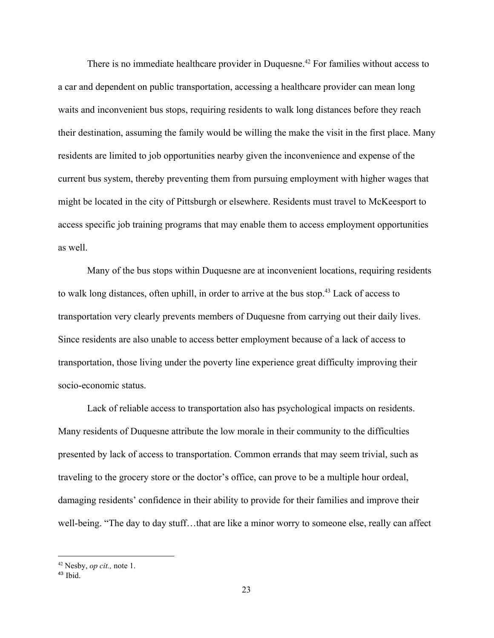There is no immediate healthcare provider in Duquesne.<sup> $42$ </sup> For families without access to a car and dependent on public transportation, accessing a healthcare provider can mean long waits and inconvenient bus stops, requiring residents to walk long distances before they reach their destination, assuming the family would be willing the make the visit in the first place. Many residents are limited to job opportunities nearby given the inconvenience and expense of the current bus system, thereby preventing them from pursuing employment with higher wages that might be located in the city of Pittsburgh or elsewhere. Residents must travel to McKeesport to access specific job training programs that may enable them to access employment opportunities as well.

Many of the bus stops within Duquesne are at inconvenient locations, requiring residents to walk long distances, often uphill, in order to arrive at the bus stop.<sup>43</sup> Lack of access to transportation very clearly prevents members of Duquesne from carrying out their daily lives. Since residents are also unable to access better employment because of a lack of access to transportation, those living under the poverty line experience great difficulty improving their socio-economic status.

Lack of reliable access to transportation also has psychological impacts on residents. Many residents of Duquesne attribute the low morale in their community to the difficulties presented by lack of access to transportation. Common errands that may seem trivial, such as traveling to the grocery store or the doctor's office, can prove to be a multiple hour ordeal, damaging residents' confidence in their ability to provide for their families and improve their well-being. "The day to day stuff...that are like a minor worry to someone else, really can affect

<sup>42</sup> Nesby, *op cit.,* note 1.

<sup>43</sup> Ibid.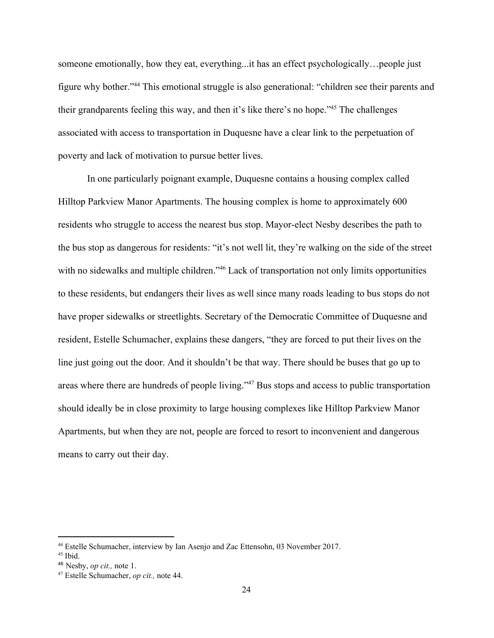someone emotionally, how they eat, everything...it has an effect psychologically…people just figure why bother."<sup>44</sup> This emotional struggle is also generational: "children see their parents and their grandparents feeling this way, and then it's like there's no hope." $45$  The challenges associated with access to transportation in Duquesne have a clear link to the perpetuation of poverty and lack of motivation to pursue better lives.

In one particularly poignant example, Duquesne contains a housing complex called Hilltop Parkview Manor Apartments. The housing complex is home to approximately 600 residents who struggle to access the nearest bus stop. Mayor-elect Nesby describes the path to the bus stop as dangerous for residents: "it's not well lit, they're walking on the side of the street with no sidewalks and multiple children."<sup>46</sup> Lack of transportation not only limits opportunities to these residents, but endangers their lives as well since many roads leading to bus stops do not have proper sidewalks or streetlights. Secretary of the Democratic Committee of Duquesne and resident, Estelle Schumacher, explains these dangers, "they are forced to put their lives on the line just going out the door. And it shouldn't be that way. There should be buses that go up to areas where there are hundreds of people living."<sup>47</sup> Bus stops and access to public transportation should ideally be in close proximity to large housing complexes like Hilltop Parkview Manor Apartments, but when they are not, people are forced to resort to inconvenient and dangerous means to carry out their day.

<sup>44</sup> Estelle Schumacher, interview by Ian Asenjo and Zac Ettensohn, 03 November 2017.

 $45$  Ibid.

<sup>46</sup> Nesby, *op cit.,* note 1.

<sup>47</sup> Estelle Schumacher, *op cit.,* note 44.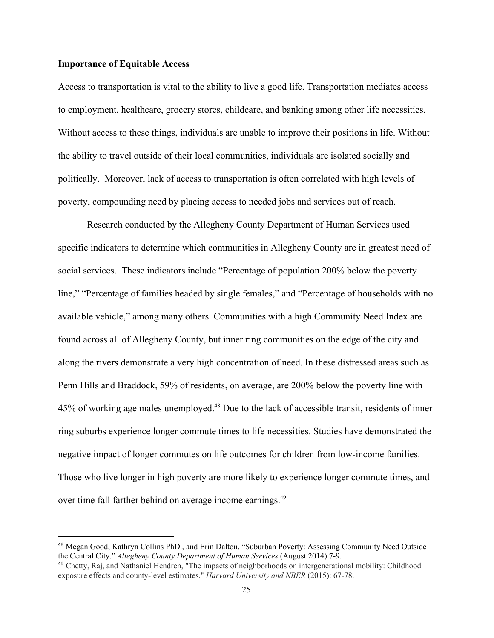# **Importance of Equitable Access**

Access to transportation is vital to the ability to live a good life. Transportation mediates access to employment, healthcare, grocery stores, childcare, and banking among other life necessities. Without access to these things, individuals are unable to improve their positions in life. Without the ability to travel outside of their local communities, individuals are isolated socially and politically. Moreover, lack of access to transportation is often correlated with high levels of poverty, compounding need by placing access to needed jobs and services out of reach.

Research conducted by the Allegheny County Department of Human Services used specific indicators to determine which communities in Allegheny County are in greatest need of social services. These indicators include "Percentage of population 200% below the poverty line," "Percentage of families headed by single females," and "Percentage of households with no available vehicle," among many others. Communities with a high Community Need Index are found across all of Allegheny County, but inner ring communities on the edge of the city and along the rivers demonstrate a very high concentration of need. In these distressed areas such as Penn Hills and Braddock, 59% of residents, on average, are 200% below the poverty line with 45% of working age males unemployed.<sup>48</sup> Due to the lack of accessible transit, residents of inner ring suburbs experience longer commute times to life necessities. Studies have demonstrated the negative impact of longer commutes on life outcomes for children from low-income families. Those who live longer in high poverty are more likely to experience longer commute times, and over time fall farther behind on average income earnings.<sup>49</sup>

<sup>48</sup> Megan Good, Kathryn Collins PhD., and Erin Dalton, "Suburban Poverty: Assessing Community Need Outside the Central City." *Allegheny County Department of Human Services* (August 2014) 7-9.

<sup>49</sup> Chetty, Raj, and Nathaniel Hendren, "The impacts of neighborhoods on intergenerational mobility: Childhood exposure effects and county-level estimates." *Harvard University and NBER* (2015): 67-78.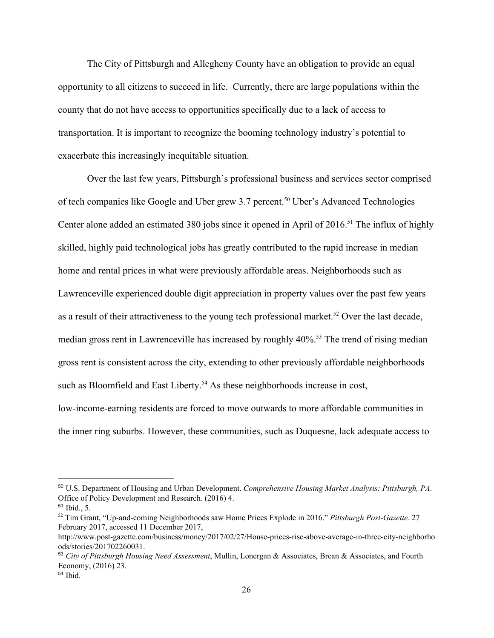The City of Pittsburgh and Allegheny County have an obligation to provide an equal opportunity to all citizens to succeed in life. Currently, there are large populations within the county that do not have access to opportunities specifically due to a lack of access to transportation. It is important to recognize the booming technology industry's potential to exacerbate this increasingly inequitable situation.

Over the last few years, Pittsburgh's professional business and services sector comprised of tech companies like Google and Uber grew 3.7 percent.<sup>50</sup> Uber's Advanced Technologies Center alone added an estimated 380 jobs since it opened in April of 2016.<sup>51</sup> The influx of highly skilled, highly paid technological jobs has greatly contributed to the rapid increase in median home and rental prices in what were previously affordable areas. Neighborhoods such as Lawrenceville experienced double digit appreciation in property values over the past few years as a result of their attractiveness to the young tech professional market.<sup>52</sup> Over the last decade, median gross rent in Lawrenceville has increased by roughly 40%.<sup>53</sup> The trend of rising median gross rent is consistent across the city, extending to other previously affordable neighborhoods such as Bloomfield and East Liberty.<sup>54</sup> As these neighborhoods increase in cost, low-income-earning residents are forced to move outwards to more affordable communities in the inner ring suburbs. However, these communities, such as Duquesne, lack adequate access to

<sup>50</sup> U.S. Department of Housing and Urban Development. *Comprehensive Housing Market Analysis: Pittsburgh, PA.* Office of Policy Development and Research*.* (2016) 4.

<sup>51</sup> Ibid., 5.

<sup>52</sup> Tim Grant, "Up-and-coming Neighborhoods saw Home Prices Explode in 2016." *Pittsburgh Post-Gazette.* 27 February 2017, accessed 11 December 2017,

http://www.post-gazette.com/business/money/2017/02/27/House-prices-rise-above-average-in-three-city-neighborho ods/stories/201702260031.

<sup>53</sup> *City of Pittsburgh Housing Need Assessment*, Mullin, Lonergan & Associates, Brean & Associates, and Fourth Economy, (2016) 23.

<sup>54</sup> Ibid.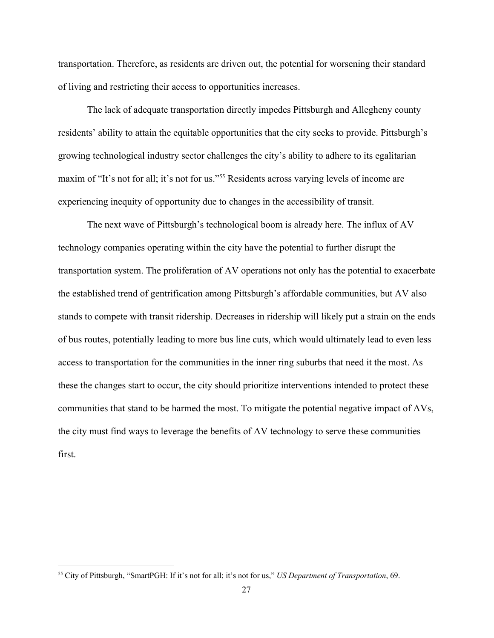transportation. Therefore, as residents are driven out, the potential for worsening their standard of living and restricting their access to opportunities increases.

The lack of adequate transportation directly impedes Pittsburgh and Allegheny county residents' ability to attain the equitable opportunities that the city seeks to provide. Pittsburgh's growing technological industry sector challenges the city's ability to adhere to its egalitarian maxim of "It's not for all; it's not for us."<sup>55</sup> Residents across varying levels of income are experiencing inequity of opportunity due to changes in the accessibility of transit.

The next wave of Pittsburgh's technological boom is already here. The influx of AV technology companies operating within the city have the potential to further disrupt the transportation system. The proliferation of AV operations not only has the potential to exacerbate the established trend of gentrification among Pittsburgh's affordable communities, but AV also stands to compete with transit ridership. Decreases in ridership will likely put a strain on the ends of bus routes, potentially leading to more bus line cuts, which would ultimately lead to even less access to transportation for the communities in the inner ring suburbs that need it the most. As these the changes start to occur, the city should prioritize interventions intended to protect these communities that stand to be harmed the most. To mitigate the potential negative impact of AVs, the city must find ways to leverage the benefits of AV technology to serve these communities first.

<sup>55</sup> City of Pittsburgh, "SmartPGH: If it's not for all; it's not for us," *US Department of Transportation*, 69.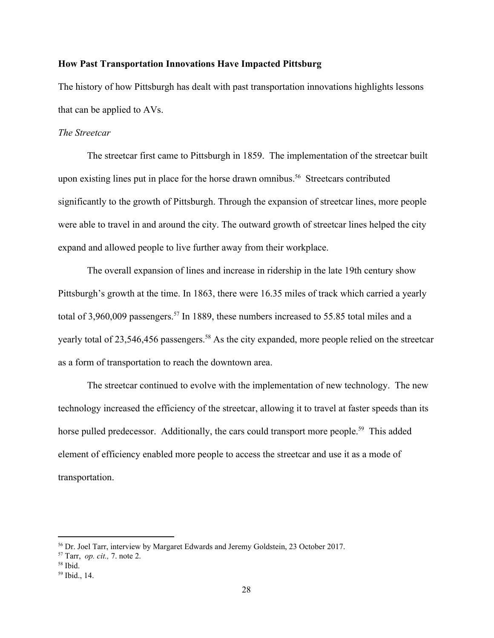# **How Past Transportation Innovations Have Impacted Pittsburg**

The history of how Pittsburgh has dealt with past transportation innovations highlights lessons that can be applied to AVs.

# *The Streetcar*

The streetcar first came to Pittsburgh in 1859. The implementation of the streetcar built upon existing lines put in place for the horse drawn omnibus.<sup>56</sup> Streetcars contributed significantly to the growth of Pittsburgh. Through the expansion of streetcar lines, more people were able to travel in and around the city. The outward growth of streetcar lines helped the city expand and allowed people to live further away from their workplace.

The overall expansion of lines and increase in ridership in the late 19th century show Pittsburgh's growth at the time. In 1863, there were 16.35 miles of track which carried a yearly total of  $3,960,009$  passengers.<sup>57</sup> In 1889, these numbers increased to 55.85 total miles and a yearly total of 23,546,456 passengers.<sup>58</sup> As the city expanded, more people relied on the streetcar as a form of transportation to reach the downtown area.

The streetcar continued to evolve with the implementation of new technology. The new technology increased the efficiency of the streetcar, allowing it to travel at faster speeds than its horse pulled predecessor. Additionally, the cars could transport more people.<sup>59</sup> This added element of efficiency enabled more people to access the streetcar and use it as a mode of transportation.

<sup>56</sup> Dr. Joel Tarr, interview by Margaret Edwards and Jeremy Goldstein, 23 October 2017.

<sup>57</sup> Tarr, *op. cit.,* 7. note 2.

<sup>58</sup> Ibid.

<sup>59</sup> Ibid., 14.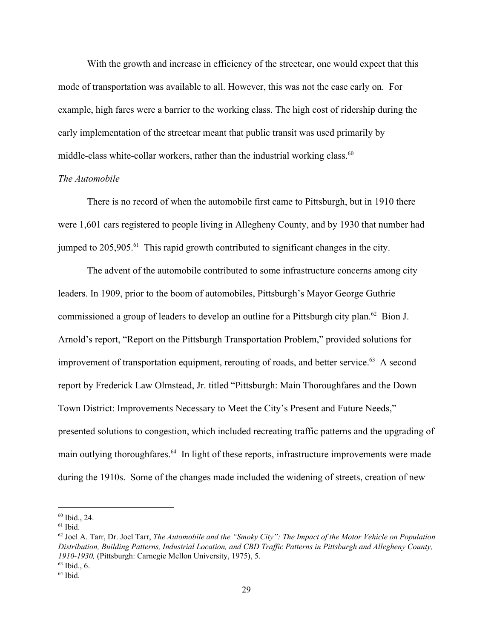With the growth and increase in efficiency of the streetcar, one would expect that this mode of transportation was available to all. However, this was not the case early on. For example, high fares were a barrier to the working class. The high cost of ridership during the early implementation of the streetcar meant that public transit was used primarily by middle-class white-collar workers, rather than the industrial working class.<sup>60</sup>

#### *The Automobile*

There is no record of when the automobile first came to Pittsburgh, but in 1910 there were 1,601 cars registered to people living in Allegheny County, and by 1930 that number had jumped to  $205,905$ . <sup>61</sup> This rapid growth contributed to significant changes in the city.

The advent of the automobile contributed to some infrastructure concerns among city leaders. In 1909, prior to the boom of automobiles, Pittsburgh's Mayor George Guthrie commissioned a group of leaders to develop an outline for a Pittsburgh city plan.  $62$  Bion J. Arnold's report, "Report on the Pittsburgh Transportation Problem," provided solutions for improvement of transportation equipment, rerouting of roads, and better service.  $63$  A second report by Frederick Law Olmstead, Jr. titled "Pittsburgh: Main Thoroughfares and the Down Town District: Improvements Necessary to Meet the City's Present and Future Needs," presented solutions to congestion, which included recreating traffic patterns and the upgrading of main outlying thoroughfares.<sup>64</sup> In light of these reports, infrastructure improvements were made during the 1910s. Some of the changes made included the widening of streets, creation of new

 $60$  Ibid., 24.

 $61$  Ibid.

<sup>62</sup> Joel A. Tarr, Dr. Joel Tarr, *The Automobile and the "Smoky City": The Impact of the Motor Vehicle on Population Distribution, Building Patterns, Industrial Location, and CBD Traf ic Patterns in Pittsburgh and Allegheny County, 1910-1930,* (Pittsburgh: Carnegie Mellon University, 1975), 5.  $63$  Ibid., 6.

 $64$  Ibid.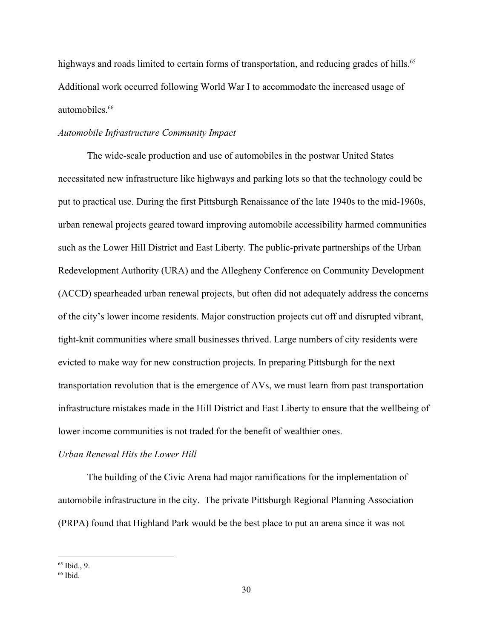highways and roads limited to certain forms of transportation, and reducing grades of hills.<sup>65</sup> Additional work occurred following World War I to accommodate the increased usage of automobiles.<sup>66</sup>

# *Automobile Infrastructure Community Impact*

The wide-scale production and use of automobiles in the postwar United States necessitated new infrastructure like highways and parking lots so that the technology could be put to practical use. During the first Pittsburgh Renaissance of the late 1940s to the mid-1960s, urban renewal projects geared toward improving automobile accessibility harmed communities such as the Lower Hill District and East Liberty. The public-private partnerships of the Urban Redevelopment Authority (URA) and the Allegheny Conference on Community Development (ACCD) spearheaded urban renewal projects, but often did not adequately address the concerns of the city's lower income residents. Major construction projects cut off and disrupted vibrant, tight-knit communities where small businesses thrived. Large numbers of city residents were evicted to make way for new construction projects. In preparing Pittsburgh for the next transportation revolution that is the emergence of AVs, we must learn from past transportation infrastructure mistakes made in the Hill District and East Liberty to ensure that the wellbeing of lower income communities is not traded for the benefit of wealthier ones.

# *Urban Renewal Hits the Lower Hill*

The building of the Civic Arena had major ramifications for the implementation of automobile infrastructure in the city. The private Pittsburgh Regional Planning Association (PRPA) found that Highland Park would be the best place to put an arena since it was not

 $65$  Ibid., 9.

 $66$  Ibid.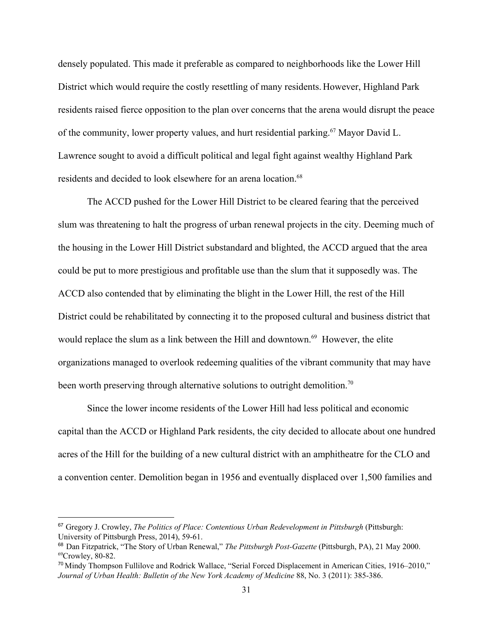densely populated. This made it preferable as compared to neighborhoods like the Lower Hill District which would require the costly resettling of many residents. However, Highland Park residents raised fierce opposition to the plan over concerns that the arena would disrupt the peace of the community, lower property values, and hurt residential parking.<sup>67</sup> Mayor David L. Lawrence sought to avoid a difficult political and legal fight against wealthy Highland Park residents and decided to look elsewhere for an arena location.<sup>68</sup>

The ACCD pushed for the Lower Hill District to be cleared fearing that the perceived slum was threatening to halt the progress of urban renewal projects in the city. Deeming much of the housing in the Lower Hill District substandard and blighted, the ACCD argued that the area could be put to more prestigious and profitable use than the slum that it supposedly was. The ACCD also contended that by eliminating the blight in the Lower Hill, the rest of the Hill District could be rehabilitated by connecting it to the proposed cultural and business district that would replace the slum as a link between the Hill and downtown.<sup>69</sup> However, the elite organizations managed to overlook redeeming qualities of the vibrant community that may have been worth preserving through alternative solutions to outright demolition.<sup>70</sup>

Since the lower income residents of the Lower Hill had less political and economic capital than the ACCD or Highland Park residents, the city decided to allocate about one hundred acres of the Hill for the building of a new cultural district with an amphitheatre for the CLO and a convention center. Demolition began in 1956 and eventually displaced over 1,500 families and

<sup>67</sup> Gregory J. Crowley, *The Politics of Place: Contentious Urban Redevelopment in Pittsburgh* (Pittsburgh: University of Pittsburgh Press, 2014), 59-61.

<sup>68</sup>Dan Fitzpatrick, "The Story of Urban Renewal," *The Pittsburgh Post-Gazette* (Pittsburgh, PA), 21 May 2000.  $69$ Crowley, 80-82.

<sup>70</sup> Mindy Thompson Fullilove and Rodrick Wallace, "Serial Forced Displacement in American Cities, 1916–2010," *Journal of Urban Health: Bulletin of the New York Academy of Medicine* 88, No. 3 (2011): 385-386.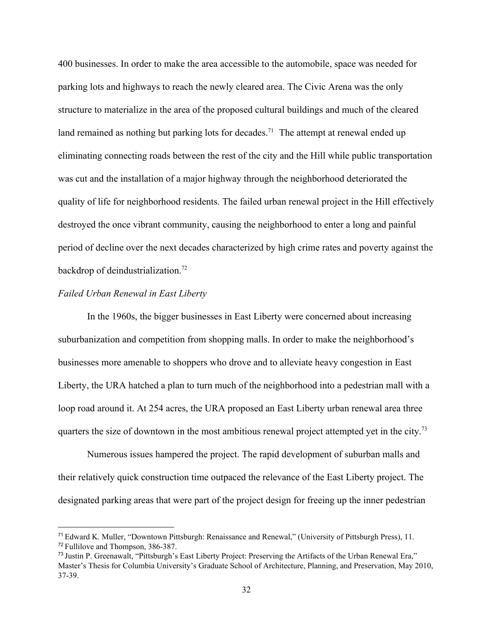400 businesses. In order to make the area accessible to the automobile, space was needed for parking lots and highways to reach the newly cleared area. The Civic Arena was the only structure to materialize in the area of the proposed cultural buildings and much of the cleared land remained as nothing but parking lots for decades.<sup>71</sup> The attempt at renewal ended up eliminating connecting roads between the rest of the city and the Hill while public transportation was cut and the installation of a major highway through the neighborhood deteriorated the quality of life for neighborhood residents. The failed urban renewal project in the Hill effectively destroyed the once vibrant community, causing the neighborhood to enter a long and painful period of decline over the next decades characterized by high crime rates and poverty against the backdrop of deindustrialization.<sup>72</sup>

# *Failed Urban Renewal in East Liberty*

In the 1960s, the bigger businesses in East Liberty were concerned about increasing suburbanization and competition from shopping malls. In order to make the neighborhood's businesses more amenable to shoppers who drove and to alleviate heavy congestion in East Liberty, the URA hatched a plan to turn much of the neighborhood into a pedestrian mall with a loop road around it. At 254 acres, the URA proposed an East Liberty urban renewal area three quarters the size of downtown in the most ambitious renewal project attempted yet in the city.<sup>73</sup>

Numerous issues hampered the project. The rapid development of suburban malls and their relatively quick construction time outpaced the relevance of the East Liberty project. The designated parking areas that were part of the project design for freeing up the inner pedestrian

<sup>71</sup> Edward K. Muller, "Downtown Pittsburgh: Renaissance and Renewal," (University of Pittsburgh Press), 11. <sup>72</sup> Fullilove and Thompson, 386-387.

<sup>73</sup> Justin P. Greenawalt, "Pittsburgh's East Liberty Project: Preserving the Artifacts of the Urban Renewal Era," Master's Thesis for Columbia University's Graduate School of Architecture, Planning, and Preservation, May 2010, 37-39.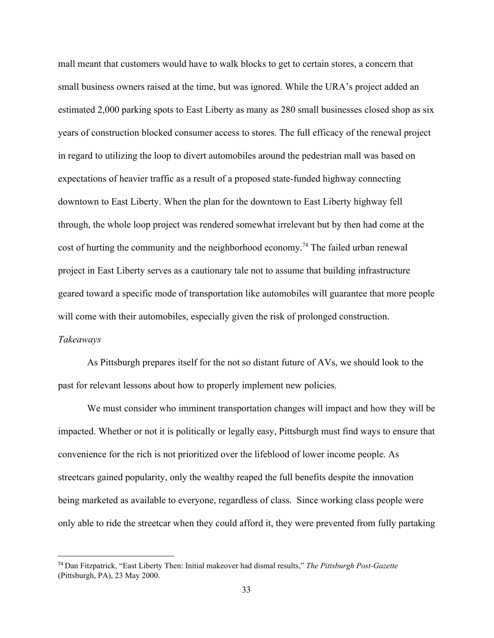mall meant that customers would have to walk blocks to get to certain stores, a concern that small business owners raised at the time, but was ignored. While the URA's project added an estimated 2,000 parking spots to East Liberty as many as 280 small businesses closed shop as six years of construction blocked consumer access to stores. The full efficacy of the renewal project in regard to utilizing the loop to divert automobiles around the pedestrian mall was based on expectations of heavier traffic as a result of a proposed state-funded highway connecting downtown to East Liberty. When the plan for the downtown to East Liberty highway fell through, the whole loop project was rendered somewhat irrelevant but by then had come at the cost of hurting the community and the neighborhood economy.<sup>74</sup> The failed urban renewal project in East Liberty serves as a cautionary tale not to assume that building infrastructure geared toward a specific mode of transportation like automobiles will guarantee that more people will come with their automobiles, especially given the risk of prolonged construction. *Takeaways*

As Pittsburgh prepares itself for the not so distant future of AVs, we should look to the past for relevant lessons about how to properly implement new policies.

We must consider who imminent transportation changes will impact and how they will be impacted. Whether or not it is politically or legally easy, Pittsburgh must find ways to ensure that convenience for the rich is not prioritized over the lifeblood of lower income people. As streetcars gained popularity, only the wealthy reaped the full benefits despite the innovation being marketed as available to everyone, regardless of class. Since working class people were only able to ride the streetcar when they could afford it, they were prevented from fully partaking

<sup>74</sup> Dan Fitzpatrick, "East Liberty Then: Initial makeover had dismal results," *The Pittsburgh Post-Gazette* (Pittsburgh, PA), 23 May 2000.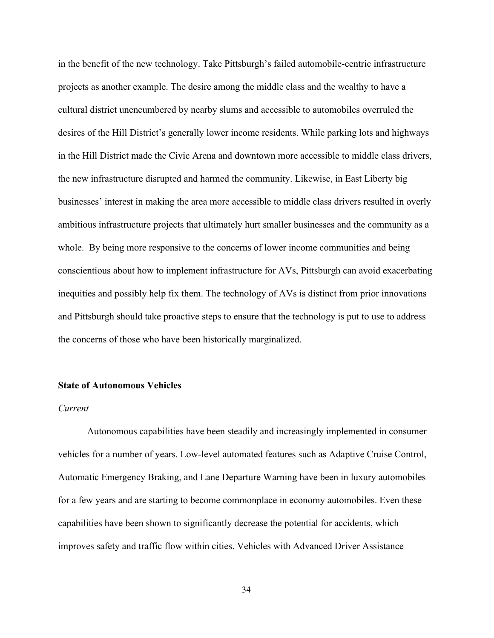in the benefit of the new technology. Take Pittsburgh's failed automobile-centric infrastructure projects as another example. The desire among the middle class and the wealthy to have a cultural district unencumbered by nearby slums and accessible to automobiles overruled the desires of the Hill District's generally lower income residents. While parking lots and highways in the Hill District made the Civic Arena and downtown more accessible to middle class drivers, the new infrastructure disrupted and harmed the community. Likewise, in East Liberty big businesses' interest in making the area more accessible to middle class drivers resulted in overly ambitious infrastructure projects that ultimately hurt smaller businesses and the community as a whole. By being more responsive to the concerns of lower income communities and being conscientious about how to implement infrastructure for AVs, Pittsburgh can avoid exacerbating inequities and possibly help fix them. The technology of AVs is distinct from prior innovations and Pittsburgh should take proactive steps to ensure that the technology is put to use to address the concerns of those who have been historically marginalized.

### **State of Autonomous Vehicles**

#### *Current*

Autonomous capabilities have been steadily and increasingly implemented in consumer vehicles for a number of years. Low-level automated features such as Adaptive Cruise Control, Automatic Emergency Braking, and Lane Departure Warning have been in luxury automobiles for a few years and are starting to become commonplace in economy automobiles. Even these capabilities have been shown to significantly decrease the potential for accidents, which improves safety and traffic flow within cities. Vehicles with Advanced Driver Assistance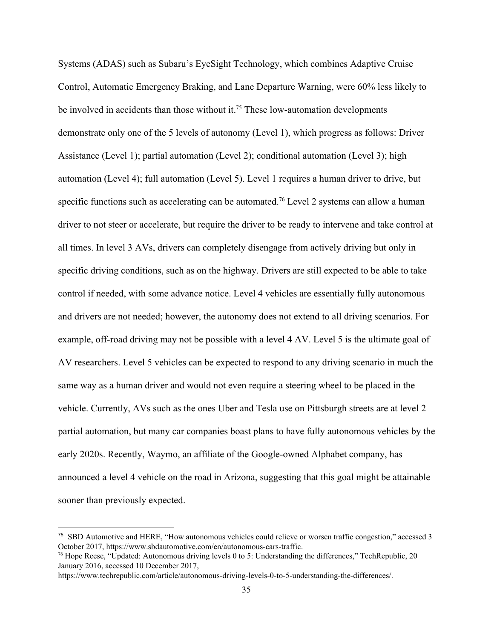Systems (ADAS) such as Subaru's EyeSight Technology, which combines Adaptive Cruise Control, Automatic Emergency Braking, and Lane Departure Warning, were 60% less likely to be involved in accidents than those without it.<sup>75</sup> These low-automation developments demonstrate only one of the 5 levels of autonomy (Level 1), which progress as follows: Driver Assistance (Level 1); partial automation (Level 2); conditional automation (Level 3); high automation (Level 4); full automation (Level 5). Level 1 requires a human driver to drive, but specific functions such as accelerating can be automated.<sup>76</sup> Level 2 systems can allow a human driver to not steer or accelerate, but require the driver to be ready to intervene and take control at all times. In level 3 AVs, drivers can completely disengage from actively driving but only in specific driving conditions, such as on the highway. Drivers are still expected to be able to take control if needed, with some advance notice. Level 4 vehicles are essentially fully autonomous and drivers are not needed; however, the autonomy does not extend to all driving scenarios. For example, off-road driving may not be possible with a level 4 AV. Level 5 is the ultimate goal of AV researchers. Level 5 vehicles can be expected to respond to any driving scenario in much the same way as a human driver and would not even require a steering wheel to be placed in the vehicle. Currently, AVs such as the ones Uber and Tesla use on Pittsburgh streets are at level 2 partial automation, but many car companies boast plans to have fully autonomous vehicles by the early 2020s. Recently, Waymo, an affiliate of the Google-owned Alphabet company, has announced a level 4 vehicle on the road in Arizona, suggesting that this goal might be attainable sooner than previously expected.

<sup>75</sup> SBD Automotive and HERE, "How autonomous vehicles could relieve or worsen traffic congestion," accessed 3 October 2017, https://www.sbdautomotive.com/en/autonomous-cars-traffic.

<sup>76</sup> Hope Reese, "Updated: Autonomous driving levels 0 to 5: Understanding the differences," TechRepublic, 20 January 2016, accessed 10 December 2017,

https://www.techrepublic.com/article/autonomous-driving-levels-0-to-5-understanding-the-differences/.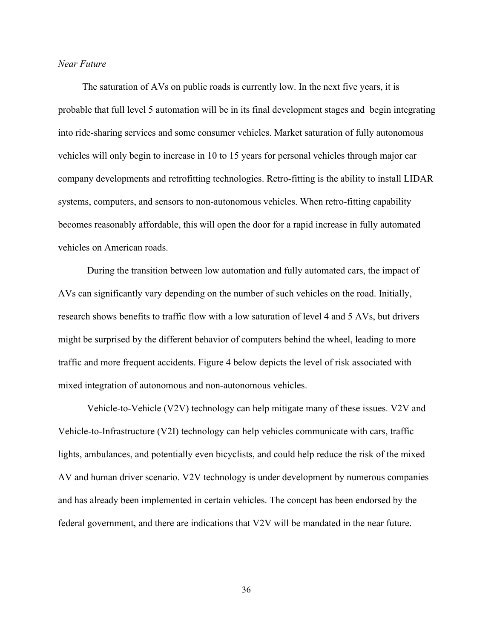# *Near Future*

 The saturation of AVs on public roads is currently low. In the next five years, it is probable that full level 5 automation will be in its final development stages and begin integrating into ride-sharing services and some consumer vehicles. Market saturation of fully autonomous vehicles will only begin to increase in 10 to 15 years for personal vehicles through major car company developments and retrofitting technologies. Retro-fitting is the ability to install LIDAR systems, computers, and sensors to non-autonomous vehicles. When retro-fitting capability becomes reasonably affordable, this will open the door for a rapid increase in fully automated vehicles on American roads.

During the transition between low automation and fully automated cars, the impact of AVs can significantly vary depending on the number of such vehicles on the road. Initially, research shows benefits to traffic flow with a low saturation of level 4 and 5 AVs, but drivers might be surprised by the different behavior of computers behind the wheel, leading to more traffic and more frequent accidents. Figure 4 below depicts the level of risk associated with mixed integration of autonomous and non-autonomous vehicles.

Vehicle-to-Vehicle (V2V) technology can help mitigate many of these issues. V2V and Vehicle-to-Infrastructure (V2I) technology can help vehicles communicate with cars, traffic lights, ambulances, and potentially even bicyclists, and could help reduce the risk of the mixed AV and human driver scenario. V2V technology is under development by numerous companies and has already been implemented in certain vehicles. The concept has been endorsed by the federal government, and there are indications that V2V will be mandated in the near future.

36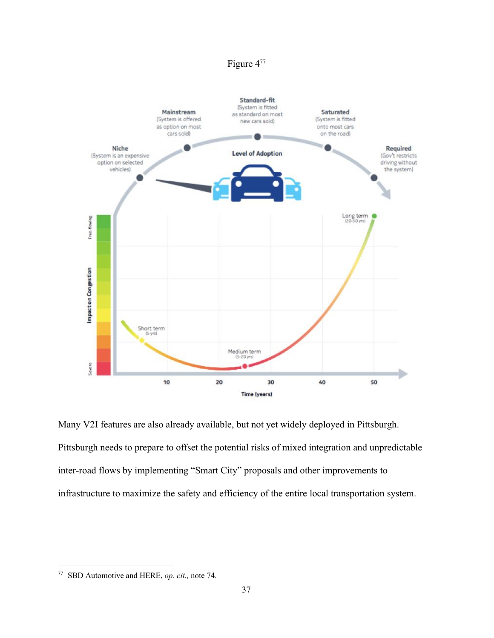# Figure 4<sup>77</sup>



Many V2I features are also already available, but not yet widely deployed in Pittsburgh. Pittsburgh needs to prepare to offset the potential risks of mixed integration and unpredictable inter-road flows by implementing "Smart City" proposals and other improvements to infrastructure to maximize the safety and efficiency of the entire local transportation system.

<sup>77</sup> SBD Automotive and HERE, *op. cit.,* note 74.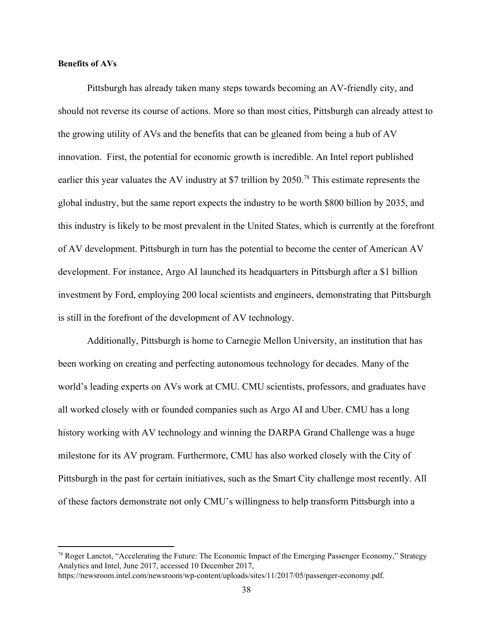#### **Benefits of AVs**

Pittsburgh has already taken many steps towards becoming an AV-friendly city, and should not reverse its course of actions. More so than most cities, Pittsburgh can already attest to the growing utility of AVs and the benefits that can be gleaned from being a hub of AV innovation. First, the potential for economic growth is incredible. An Intel report published earlier this year valuates the AV industry at \$7 trillion by  $2050$ .<sup>78</sup> This estimate represents the global industry, but the same report expects the industry to be worth \$800 billion by 2035, and this industry is likely to be most prevalent in the United States, which is currently at the forefront of AV development. Pittsburgh in turn has the potential to become the center of American AV development. For instance, Argo AI launched its headquarters in Pittsburgh after a \$1 billion investment by Ford, employing 200 local scientists and engineers, demonstrating that Pittsburgh is still in the forefront of the development of AV technology.

Additionally, Pittsburgh is home to Carnegie Mellon University, an institution that has been working on creating and perfecting autonomous technology for decades. Many of the world's leading experts on AVs work at CMU. CMU scientists, professors, and graduates have all worked closely with or founded companies such as Argo AI and Uber. CMU has a long history working with AV technology and winning the DARPA Grand Challenge was a huge milestone for its AV program. Furthermore, CMU has also worked closely with the City of Pittsburgh in the past for certain initiatives, such as the Smart City challenge most recently. All of these factors demonstrate not only CMU's willingness to help transform Pittsburgh into a

 $78$  Roger Lanctot, "Accelerating the Future: The Economic Impact of the Emerging Passenger Economy," Strategy Analytics and Intel, June 2017, accessed 10 December 2017,

https://newsroom.intel.com/newsroom/wp-content/uploads/sites/11/2017/05/passenger-economy.pdf.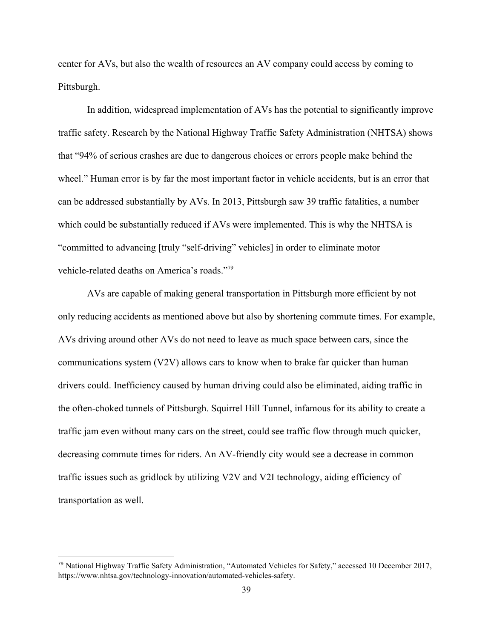center for AVs, but also the wealth of resources an AV company could access by coming to Pittsburgh.

In addition, widespread implementation of AVs has the potential to significantly improve traffic safety. Research by the National Highway Traffic Safety Administration (NHTSA) shows that "94% of serious crashes are due to dangerous choices or errors people make behind the wheel." Human error is by far the most important factor in vehicle accidents, but is an error that can be addressed substantially by AVs. In 2013, Pittsburgh saw 39 traffic fatalities, a number which could be substantially reduced if AVs were implemented. This is why the NHTSA is "committed to advancing [truly "self-driving" vehicles] in order to eliminate motor vehicle-related deaths on America's roads."<sup>79</sup>

AVs are capable of making general transportation in Pittsburgh more efficient by not only reducing accidents as mentioned above but also by shortening commute times. For example, AVs driving around other AVs do not need to leave as much space between cars, since the communications system (V2V) allows cars to know when to brake far quicker than human drivers could. Inefficiency caused by human driving could also be eliminated, aiding traffic in the often-choked tunnels of Pittsburgh. Squirrel Hill Tunnel, infamous for its ability to create a traffic jam even without many cars on the street, could see traffic flow through much quicker, decreasing commute times for riders. An AV-friendly city would see a decrease in common traffic issues such as gridlock by utilizing V2V and V2I technology, aiding efficiency of transportation as well.

<sup>79</sup> National Highway Traffic Safety Administration, "Automated Vehicles for Safety," accessed 10 December 2017, https://www.nhtsa.gov/technology-innovation/automated-vehicles-safety.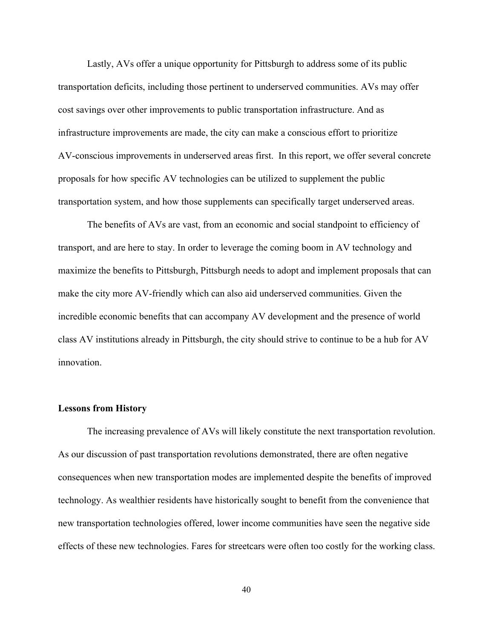Lastly, AVs offer a unique opportunity for Pittsburgh to address some of its public transportation deficits, including those pertinent to underserved communities. AVs may offer cost savings over other improvements to public transportation infrastructure. And as infrastructure improvements are made, the city can make a conscious effort to prioritize AV-conscious improvements in underserved areas first. In this report, we offer several concrete proposals for how specific AV technologies can be utilized to supplement the public transportation system, and how those supplements can specifically target underserved areas.

The benefits of AVs are vast, from an economic and social standpoint to efficiency of transport, and are here to stay. In order to leverage the coming boom in AV technology and maximize the benefits to Pittsburgh, Pittsburgh needs to adopt and implement proposals that can make the city more AV-friendly which can also aid underserved communities. Given the incredible economic benefits that can accompany AV development and the presence of world class AV institutions already in Pittsburgh, the city should strive to continue to be a hub for AV innovation.

#### **Lessons from History**

The increasing prevalence of AVs will likely constitute the next transportation revolution. As our discussion of past transportation revolutions demonstrated, there are often negative consequences when new transportation modes are implemented despite the benefits of improved technology. As wealthier residents have historically sought to benefit from the convenience that new transportation technologies offered, lower income communities have seen the negative side effects of these new technologies. Fares for streetcars were often too costly for the working class.

40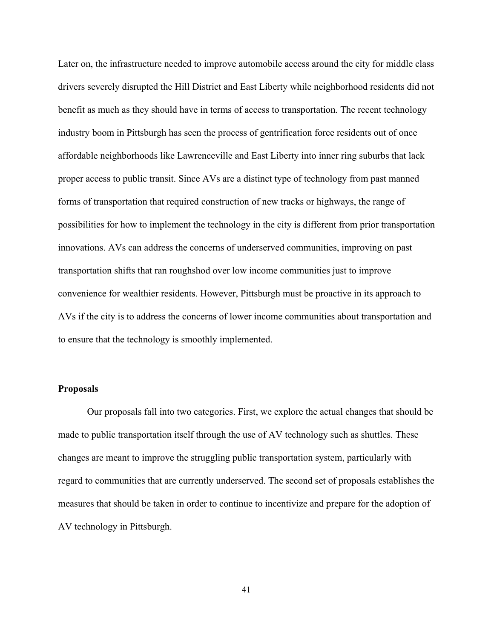Later on, the infrastructure needed to improve automobile access around the city for middle class drivers severely disrupted the Hill District and East Liberty while neighborhood residents did not benefit as much as they should have in terms of access to transportation. The recent technology industry boom in Pittsburgh has seen the process of gentrification force residents out of once affordable neighborhoods like Lawrenceville and East Liberty into inner ring suburbs that lack proper access to public transit. Since AVs are a distinct type of technology from past manned forms of transportation that required construction of new tracks or highways, the range of possibilities for how to implement the technology in the city is different from prior transportation innovations. AVs can address the concerns of underserved communities, improving on past transportation shifts that ran roughshod over low income communities just to improve convenience for wealthier residents. However, Pittsburgh must be proactive in its approach to AVs if the city is to address the concerns of lower income communities about transportation and to ensure that the technology is smoothly implemented.

#### **Proposals**

Our proposals fall into two categories. First, we explore the actual changes that should be made to public transportation itself through the use of AV technology such as shuttles. These changes are meant to improve the struggling public transportation system, particularly with regard to communities that are currently underserved. The second set of proposals establishes the measures that should be taken in order to continue to incentivize and prepare for the adoption of AV technology in Pittsburgh.

41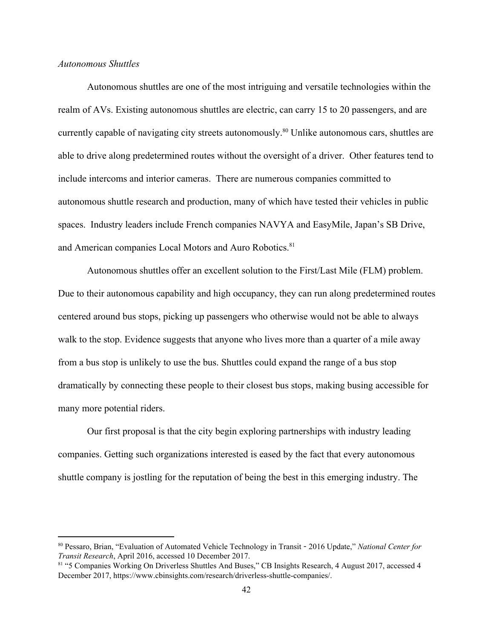#### *Autonomous Shuttles*

Autonomous shuttles are one of the most intriguing and versatile technologies within the realm of AVs. Existing autonomous shuttles are electric, can carry 15 to 20 passengers, and are currently capable of navigating city streets autonomously.<sup>80</sup> Unlike autonomous cars, shuttles are able to drive along predetermined routes without the oversight of a driver. Other features tend to include intercoms and interior cameras. There are numerous companies committed to autonomous shuttle research and production, many of which have tested their vehicles in public spaces. Industry leaders include French companies NAVYA and EasyMile, Japan's SB Drive, and American companies Local Motors and Auro Robotics.<sup>81</sup>

Autonomous shuttles offer an excellent solution to the First/Last Mile (FLM) problem. Due to their autonomous capability and high occupancy, they can run along predetermined routes centered around bus stops, picking up passengers who otherwise would not be able to always walk to the stop. Evidence suggests that anyone who lives more than a quarter of a mile away from a bus stop is unlikely to use the bus. Shuttles could expand the range of a bus stop dramatically by connecting these people to their closest bus stops, making busing accessible for many more potential riders.

Our first proposal is that the city begin exploring partnerships with industry leading companies. Getting such organizations interested is eased by the fact that every autonomous shuttle company is jostling for the reputation of being the best in this emerging industry. The

<sup>80</sup> Pessaro, Brian, "Evaluation of Automated Vehicle Technology in Transit - 2016 Update," *National Center for Transit Research*, April 2016, accessed 10 December 2017.

<sup>81 &</sup>quot;5 Companies Working On Driverless Shuttles And Buses," CB Insights Research, 4 August 2017, accessed 4 December 2017, https://www.cbinsights.com/research/driverless-shuttle-companies/.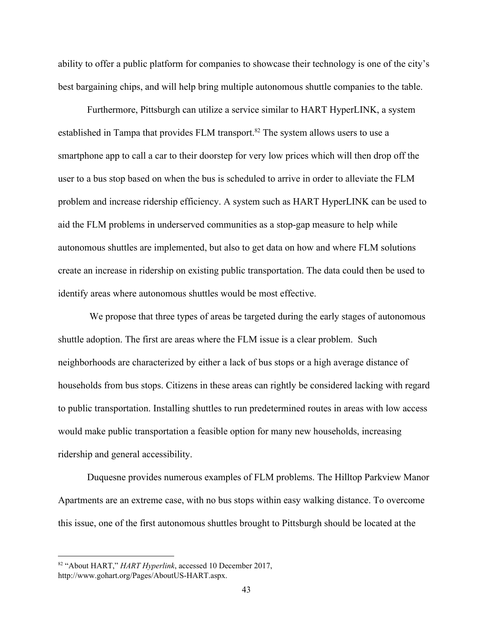ability to offer a public platform for companies to showcase their technology is one of the city's best bargaining chips, and will help bring multiple autonomous shuttle companies to the table.

Furthermore, Pittsburgh can utilize a service similar to HART HyperLINK, a system established in Tampa that provides FLM transport.<sup>82</sup> The system allows users to use a smartphone app to call a car to their doorstep for very low prices which will then drop off the user to a bus stop based on when the bus is scheduled to arrive in order to alleviate the FLM problem and increase ridership efficiency. A system such as HART HyperLINK can be used to aid the FLM problems in underserved communities as a stop-gap measure to help while autonomous shuttles are implemented, but also to get data on how and where FLM solutions create an increase in ridership on existing public transportation. The data could then be used to identify areas where autonomous shuttles would be most effective.

 We propose that three types of areas be targeted during the early stages of autonomous shuttle adoption. The first are areas where the FLM issue is a clear problem. Such neighborhoods are characterized by either a lack of bus stops or a high average distance of households from bus stops. Citizens in these areas can rightly be considered lacking with regard to public transportation. Installing shuttles to run predetermined routes in areas with low access would make public transportation a feasible option for many new households, increasing ridership and general accessibility.

Duquesne provides numerous examples of FLM problems. The Hilltop Parkview Manor Apartments are an extreme case, with no bus stops within easy walking distance. To overcome this issue, one of the first autonomous shuttles brought to Pittsburgh should be located at the

<sup>82</sup> "About HART," *HART Hyperlink*, accessed 10 December 2017, http://www.gohart.org/Pages/AboutUS-HART.aspx.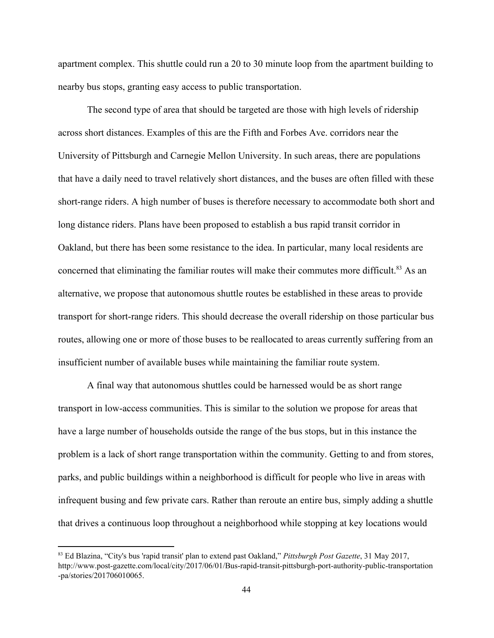apartment complex. This shuttle could run a 20 to 30 minute loop from the apartment building to nearby bus stops, granting easy access to public transportation.

The second type of area that should be targeted are those with high levels of ridership across short distances. Examples of this are the Fifth and Forbes Ave. corridors near the University of Pittsburgh and Carnegie Mellon University. In such areas, there are populations that have a daily need to travel relatively short distances, and the buses are often filled with these short-range riders. A high number of buses is therefore necessary to accommodate both short and long distance riders. Plans have been proposed to establish a bus rapid transit corridor in Oakland, but there has been some resistance to the idea. In particular, many local residents are concerned that eliminating the familiar routes will make their commutes more difficult.<sup>83</sup> As an alternative, we propose that autonomous shuttle routes be established in these areas to provide transport for short-range riders. This should decrease the overall ridership on those particular bus routes, allowing one or more of those buses to be reallocated to areas currently suffering from an insufficient number of available buses while maintaining the familiar route system.

A final way that autonomous shuttles could be harnessed would be as short range transport in low-access communities. This is similar to the solution we propose for areas that have a large number of households outside the range of the bus stops, but in this instance the problem is a lack of short range transportation within the community. Getting to and from stores, parks, and public buildings within a neighborhood is difficult for people who live in areas with infrequent busing and few private cars. Rather than reroute an entire bus, simply adding a shuttle that drives a continuous loop throughout a neighborhood while stopping at key locations would

<sup>83</sup> Ed Blazina, "City's bus 'rapid transit' plan to extend past Oakland," *Pittsburgh Post Gazette*, 31 May 2017, http://www.post-gazette.com/local/city/2017/06/01/Bus-rapid-transit-pittsburgh-port-authority-public-transportation -pa/stories/201706010065.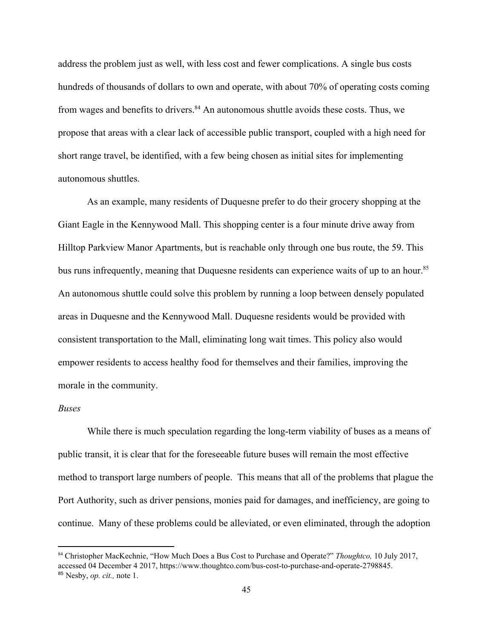address the problem just as well, with less cost and fewer complications. A single bus costs hundreds of thousands of dollars to own and operate, with about 70% of operating costs coming from wages and benefits to drivers. $84$  An autonomous shuttle avoids these costs. Thus, we propose that areas with a clear lack of accessible public transport, coupled with a high need for short range travel, be identified, with a few being chosen as initial sites for implementing autonomous shuttles.

As an example, many residents of Duquesne prefer to do their grocery shopping at the Giant Eagle in the Kennywood Mall. This shopping center is a four minute drive away from Hilltop Parkview Manor Apartments, but is reachable only through one bus route, the 59. This bus runs infrequently, meaning that Duquesne residents can experience waits of up to an hour.<sup>85</sup> An autonomous shuttle could solve this problem by running a loop between densely populated areas in Duquesne and the Kennywood Mall. Duquesne residents would be provided with consistent transportation to the Mall, eliminating long wait times. This policy also would empower residents to access healthy food for themselves and their families, improving the morale in the community.

#### *Buses*

While there is much speculation regarding the long-term viability of buses as a means of public transit, it is clear that for the foreseeable future buses will remain the most effective method to transport large numbers of people. This means that all of the problems that plague the Port Authority, such as driver pensions, monies paid for damages, and inefficiency, are going to continue. Many of these problems could be alleviated, or even eliminated, through the adoption

<sup>84</sup> Christopher MacKechnie, "How Much Does a Bus Cost to Purchase and Operate?" *Thoughtco,* 10 July 2017, accessed 04 December 4 2017, https://www.thoughtco.com/bus-cost-to-purchase-and-operate-2798845. <sup>85</sup> Nesby, *op. cit.,* note 1.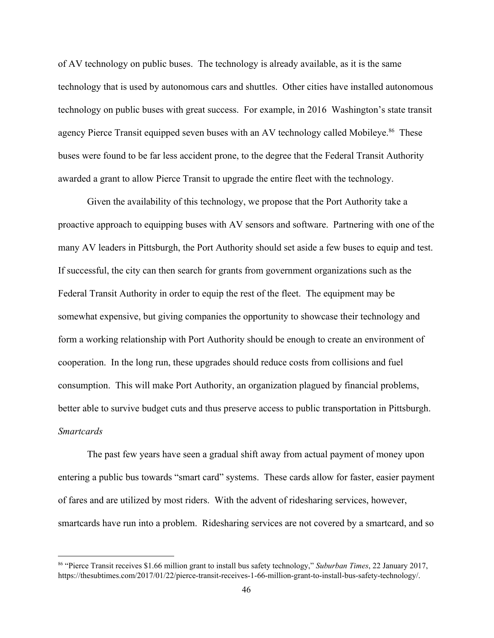of AV technology on public buses. The technology is already available, as it is the same technology that is used by autonomous cars and shuttles. Other cities have installed autonomous technology on public buses with great success. For example, in 2016 Washington's state transit agency Pierce Transit equipped seven buses with an AV technology called Mobileye.<sup>86</sup> These buses were found to be far less accident prone, to the degree that the Federal Transit Authority awarded a grant to allow Pierce Transit to upgrade the entire fleet with the technology.

Given the availability of this technology, we propose that the Port Authority take a proactive approach to equipping buses with AV sensors and software. Partnering with one of the many AV leaders in Pittsburgh, the Port Authority should set aside a few buses to equip and test. If successful, the city can then search for grants from government organizations such as the Federal Transit Authority in order to equip the rest of the fleet. The equipment may be somewhat expensive, but giving companies the opportunity to showcase their technology and form a working relationship with Port Authority should be enough to create an environment of cooperation. In the long run, these upgrades should reduce costs from collisions and fuel consumption. This will make Port Authority, an organization plagued by financial problems, better able to survive budget cuts and thus preserve access to public transportation in Pittsburgh. *Smartcards*

The past few years have seen a gradual shift away from actual payment of money upon entering a public bus towards "smart card" systems. These cards allow for faster, easier payment of fares and are utilized by most riders. With the advent of ridesharing services, however, smartcards have run into a problem. Ridesharing services are not covered by a smartcard, and so

<sup>86</sup> "Pierce Transit receives \$1.66 million grant to install bus safety technology," *Suburban Times*, 22 January 2017, https://thesubtimes.com/2017/01/22/pierce-transit-receives-1-66-million-grant-to-install-bus-safety-technology/.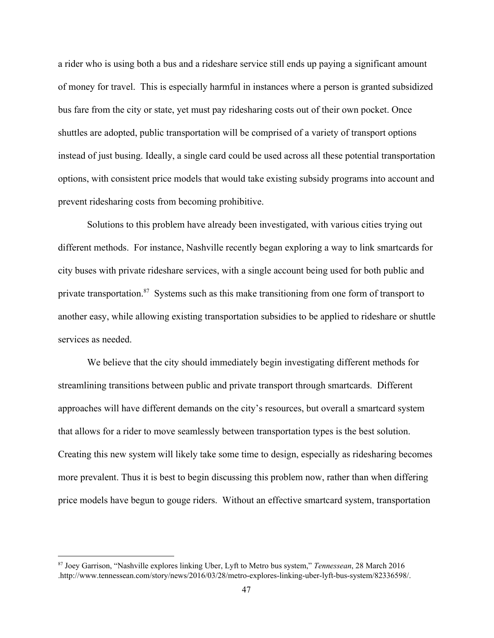a rider who is using both a bus and a rideshare service still ends up paying a significant amount of money for travel. This is especially harmful in instances where a person is granted subsidized bus fare from the city or state, yet must pay ridesharing costs out of their own pocket. Once shuttles are adopted, public transportation will be comprised of a variety of transport options instead of just busing. Ideally, a single card could be used across all these potential transportation options, with consistent price models that would take existing subsidy programs into account and prevent ridesharing costs from becoming prohibitive.

Solutions to this problem have already been investigated, with various cities trying out different methods. For instance, Nashville recently began exploring a way to link smartcards for city buses with private rideshare services, with a single account being used for both public and private transportation.<sup>87</sup> Systems such as this make transitioning from one form of transport to another easy, while allowing existing transportation subsidies to be applied to rideshare or shuttle services as needed.

We believe that the city should immediately begin investigating different methods for streamlining transitions between public and private transport through smartcards. Different approaches will have different demands on the city's resources, but overall a smartcard system that allows for a rider to move seamlessly between transportation types is the best solution. Creating this new system will likely take some time to design, especially as ridesharing becomes more prevalent. Thus it is best to begin discussing this problem now, rather than when differing price models have begun to gouge riders. Without an effective smartcard system, transportation

<sup>87</sup> Joey Garrison, "Nashville explores linking Uber, Lyft to Metro bus system," *Tennessean*, 28 March 2016 .http://www.tennessean.com/story/news/2016/03/28/metro-explores-linking-uber-lyft-bus-system/82336598/.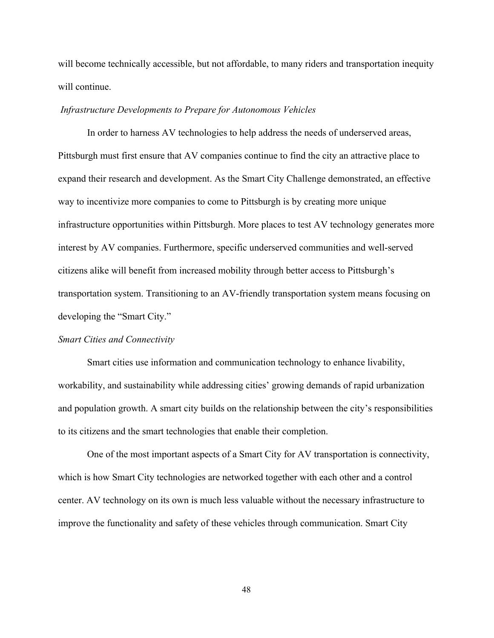will become technically accessible, but not affordable, to many riders and transportation inequity will continue.

#### *Infrastructure Developments to Prepare for Autonomous Vehicles*

In order to harness AV technologies to help address the needs of underserved areas, Pittsburgh must first ensure that AV companies continue to find the city an attractive place to expand their research and development. As the Smart City Challenge demonstrated, an effective way to incentivize more companies to come to Pittsburgh is by creating more unique infrastructure opportunities within Pittsburgh. More places to test AV technology generates more interest by AV companies. Furthermore, specific underserved communities and well-served citizens alike will benefit from increased mobility through better access to Pittsburgh's transportation system. Transitioning to an AV-friendly transportation system means focusing on developing the "Smart City."

#### *Smart Cities and Connectivity*

Smart cities use information and communication technology to enhance livability, workability, and sustainability while addressing cities' growing demands of rapid urbanization and population growth. A smart city builds on the relationship between the city's responsibilities to its citizens and the smart technologies that enable their completion.

One of the most important aspects of a Smart City for AV transportation is connectivity, which is how Smart City technologies are networked together with each other and a control center. AV technology on its own is much less valuable without the necessary infrastructure to improve the functionality and safety of these vehicles through communication. Smart City

48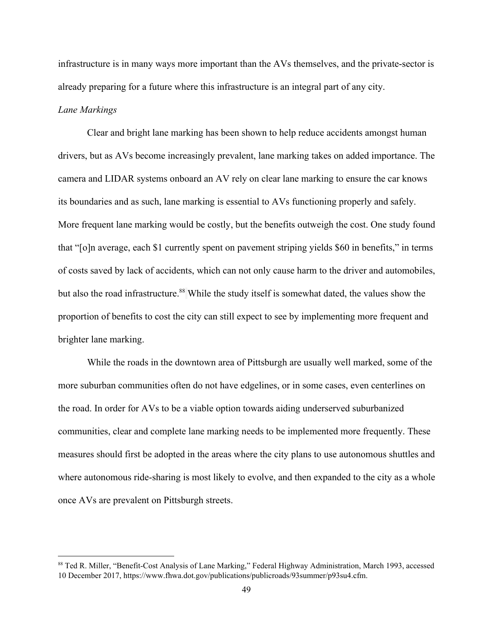infrastructure is in many ways more important than the AVs themselves, and the private-sector is already preparing for a future where this infrastructure is an integral part of any city.

# *Lane Markings*

Clear and bright lane marking has been shown to help reduce accidents amongst human drivers, but as AVs become increasingly prevalent, lane marking takes on added importance. The camera and LIDAR systems onboard an AV rely on clear lane marking to ensure the car knows its boundaries and as such, lane marking is essential to AVs functioning properly and safely. More frequent lane marking would be costly, but the benefits outweigh the cost. One study found that "[o]n average, each \$1 currently spent on pavement striping yields \$60 in benefits," in terms of costs saved by lack of accidents, which can not only cause harm to the driver and automobiles, but also the road infrastructure.<sup>88</sup> While the study itself is somewhat dated, the values show the proportion of benefits to cost the city can still expect to see by implementing more frequent and brighter lane marking.

While the roads in the downtown area of Pittsburgh are usually well marked, some of the more suburban communities often do not have edgelines, or in some cases, even centerlines on the road. In order for AVs to be a viable option towards aiding underserved suburbanized communities, clear and complete lane marking needs to be implemented more frequently. These measures should first be adopted in the areas where the city plans to use autonomous shuttles and where autonomous ride-sharing is most likely to evolve, and then expanded to the city as a whole once AVs are prevalent on Pittsburgh streets.

<sup>&</sup>lt;sup>88</sup> Ted R. Miller, "Benefit-Cost Analysis of Lane Marking," Federal Highway Administration, March 1993, accessed 10 December 2017, https://www.fhwa.dot.gov/publications/publicroads/93summer/p93su4.cfm.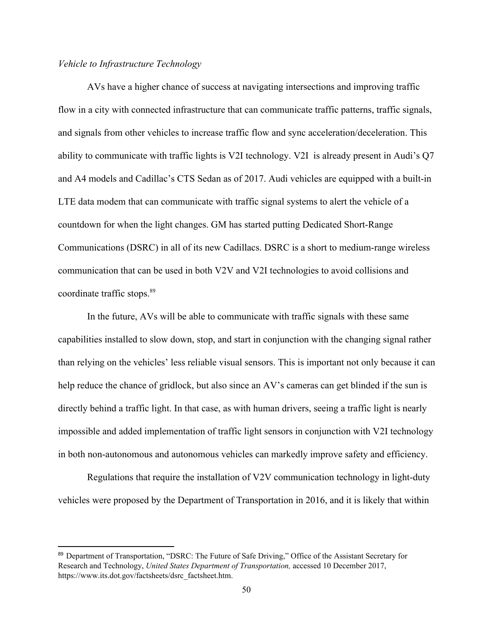# *Vehicle to Infrastructure Technology*

AVs have a higher chance of success at navigating intersections and improving traffic flow in a city with connected infrastructure that can communicate traffic patterns, traffic signals, and signals from other vehicles to increase traffic flow and sync acceleration/deceleration. This ability to communicate with traffic lights is V2I technology. V2I is already present in Audi's Q7 and A4 models and Cadillac's CTS Sedan as of 2017. Audi vehicles are equipped with a built-in LTE data modem that can communicate with traffic signal systems to alert the vehicle of a countdown for when the light changes. GM has started putting Dedicated Short-Range Communications (DSRC) in all of its new Cadillacs. DSRC is a short to medium-range wireless communication that can be used in both V2V and V2I technologies to avoid collisions and coordinate traffic stops.<sup>89</sup>

In the future, AVs will be able to communicate with traffic signals with these same capabilities installed to slow down, stop, and start in conjunction with the changing signal rather than relying on the vehicles' less reliable visual sensors. This is important not only because it can help reduce the chance of gridlock, but also since an AV's cameras can get blinded if the sun is directly behind a traffic light. In that case, as with human drivers, seeing a traffic light is nearly impossible and added implementation of traffic light sensors in conjunction with V2I technology in both non-autonomous and autonomous vehicles can markedly improve safety and efficiency.

Regulations that require the installation of V2V communication technology in light-duty vehicles were proposed by the Department of Transportation in 2016, and it is likely that within

<sup>89</sup> Department of Transportation, "DSRC: The Future of Safe Driving," Office of the Assistant Secretary for Research and Technology, *United States Department of Transportation,* accessed 10 December 2017, https://www.its.dot.gov/factsheets/dsrc\_factsheet.htm.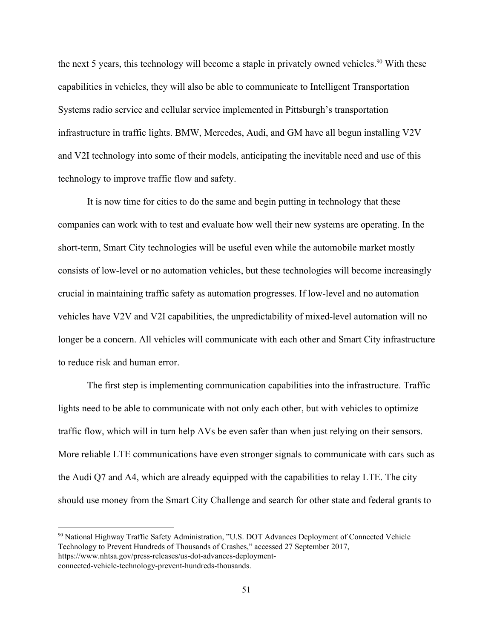the next 5 years, this technology will become a staple in privately owned vehicles.<sup>90</sup> With these capabilities in vehicles, they will also be able to communicate to Intelligent Transportation Systems radio service and cellular service implemented in Pittsburgh's transportation infrastructure in traffic lights. BMW, Mercedes, Audi, and GM have all begun installing V2V and V2I technology into some of their models, anticipating the inevitable need and use of this technology to improve traffic flow and safety.

It is now time for cities to do the same and begin putting in technology that these companies can work with to test and evaluate how well their new systems are operating. In the short-term, Smart City technologies will be useful even while the automobile market mostly consists of low-level or no automation vehicles, but these technologies will become increasingly crucial in maintaining traffic safety as automation progresses. If low-level and no automation vehicles have V2V and V2I capabilities, the unpredictability of mixed-level automation will no longer be a concern. All vehicles will communicate with each other and Smart City infrastructure to reduce risk and human error.

The first step is implementing communication capabilities into the infrastructure. Traffic lights need to be able to communicate with not only each other, but with vehicles to optimize traffic flow, which will in turn help AVs be even safer than when just relying on their sensors. More reliable LTE communications have even stronger signals to communicate with cars such as the Audi Q7 and A4, which are already equipped with the capabilities to relay LTE. The city should use money from the Smart City Challenge and search for other state and federal grants to

<sup>90</sup> National Highway Traffic Safety Administration, "U.S. DOT Advances Deployment of Connected Vehicle Technology to Prevent Hundreds of Thousands of Crashes," accessed 27 September 2017, https://www.nhtsa.gov/press-releases/us-dot-advances-deploymentconnected-vehicle-technology-prevent-hundreds-thousands.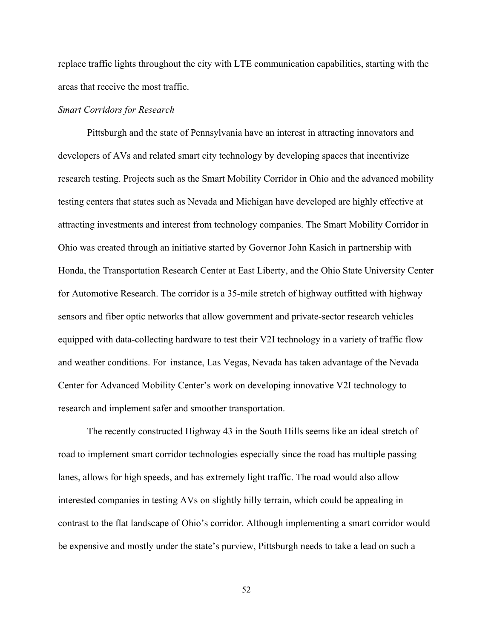replace traffic lights throughout the city with LTE communication capabilities, starting with the areas that receive the most traffic.

#### *Smart Corridors for Research*

Pittsburgh and the state of Pennsylvania have an interest in attracting innovators and developers of AVs and related smart city technology by developing spaces that incentivize research testing. Projects such as the Smart Mobility Corridor in Ohio and the advanced mobility testing centers that states such as Nevada and Michigan have developed are highly effective at attracting investments and interest from technology companies. The Smart Mobility Corridor in Ohio was created through an initiative started by Governor John Kasich in partnership with Honda, the Transportation Research Center at East Liberty, and the Ohio State University Center for Automotive Research. The corridor is a 35-mile stretch of highway outfitted with highway sensors and fiber optic networks that allow government and private-sector research vehicles equipped with data-collecting hardware to test their V2I technology in a variety of traffic flow and weather conditions. For instance, Las Vegas, Nevada has taken advantage of the Nevada Center for Advanced Mobility Center's work on developing innovative V2I technology to research and implement safer and smoother transportation.

The recently constructed Highway 43 in the South Hills seems like an ideal stretch of road to implement smart corridor technologies especially since the road has multiple passing lanes, allows for high speeds, and has extremely light traffic. The road would also allow interested companies in testing AVs on slightly hilly terrain, which could be appealing in contrast to the flat landscape of Ohio's corridor. Although implementing a smart corridor would be expensive and mostly under the state's purview, Pittsburgh needs to take a lead on such a

52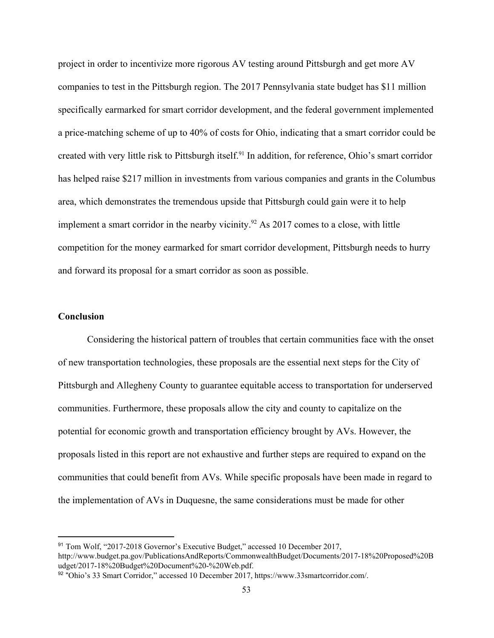project in order to incentivize more rigorous AV testing around Pittsburgh and get more AV companies to test in the Pittsburgh region. The 2017 Pennsylvania state budget has \$11 million specifically earmarked for smart corridor development, and the federal government implemented a price-matching scheme of up to 40% of costs for Ohio, indicating that a smart corridor could be created with very little risk to Pittsburgh itself.<sup>91</sup> In addition, for reference, Ohio's smart corridor has helped raise \$217 million in investments from various companies and grants in the Columbus area, which demonstrates the tremendous upside that Pittsburgh could gain were it to help implement a smart corridor in the nearby vicinity.<sup>92</sup> As 2017 comes to a close, with little competition for the money earmarked for smart corridor development, Pittsburgh needs to hurry and forward its proposal for a smart corridor as soon as possible.

# **Conclusion**

Considering the historical pattern of troubles that certain communities face with the onset of new transportation technologies, these proposals are the essential next steps for the City of Pittsburgh and Allegheny County to guarantee equitable access to transportation for underserved communities. Furthermore, these proposals allow the city and county to capitalize on the potential for economic growth and transportation efficiency brought by AVs. However, the proposals listed in this report are not exhaustive and further steps are required to expand on the communities that could benefit from AVs. While specific proposals have been made in regard to the implementation of AVs in Duquesne, the same considerations must be made for other

<sup>91</sup> Tom Wolf, "2017-2018 Governor's Executive Budget," accessed 10 December 2017, http://www.budget.pa.gov/PublicationsAndReports/CommonwealthBudget/Documents/2017-18%20Proposed%20B udget/2017-18%20Budget%20Document%20-%20Web.pdf.

<sup>92</sup> "Ohio's 33 Smart Corridor," accessed 10 December 2017, https://www.33smartcorridor.com/.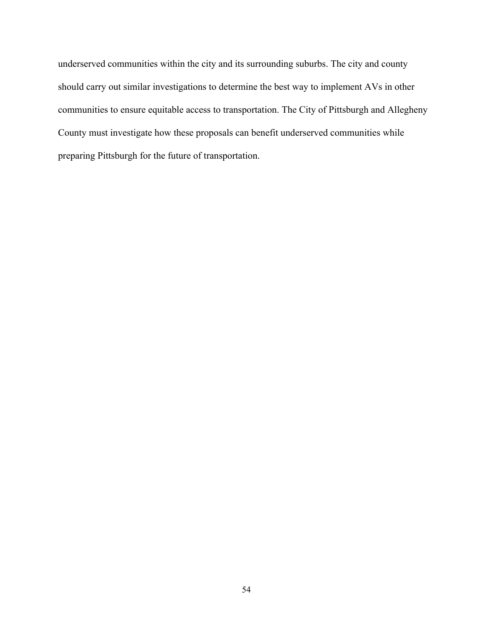underserved communities within the city and its surrounding suburbs. The city and county should carry out similar investigations to determine the best way to implement AVs in other communities to ensure equitable access to transportation. The City of Pittsburgh and Allegheny County must investigate how these proposals can benefit underserved communities while preparing Pittsburgh for the future of transportation.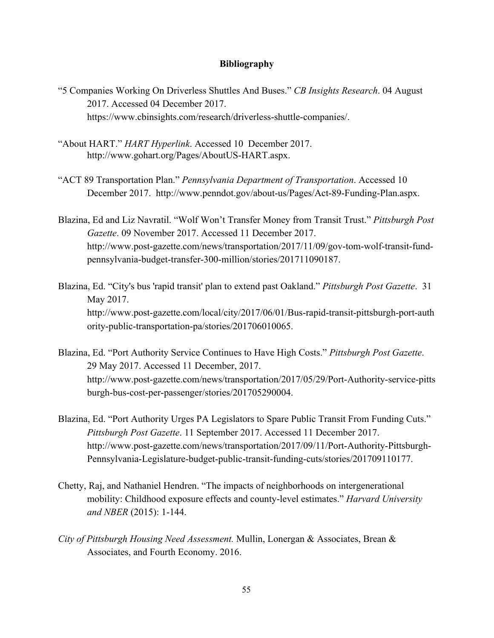# **Bibliography**

- "5 Companies Working On Driverless Shuttles And Buses." *CB Insights Research*. 04 August 2017. Accessed 04 December 2017[.](https://www.cbinsights.com/research/driverless-shuttle-companies/) <https://www.cbinsights.com/research/driverless-shuttle-companies/>.
- "About HART." *HART Hyperlink*. Accessed 10 December 2017. http://www.gohart.org/Pages/AboutUS-HART.aspx.
- "ACT 89 Transportation Plan." *Pennsylvania Department of Transportation*. Accessed 10 December 2017. [http://www.penndot.gov/about-us/Pages/Act-89-Funding-Plan.aspx.](http://www.penndot.gov/about-us/Pages/Act-89-Funding-Plan.aspx)
- Blazina, Ed and Liz Navratil. "Wolf Won't Transfer Money from Transit Trust." *Pittsburgh Post Gazette*. 09 November 2017. Accessed 11 December 2017. [http://www.post-gazette.com/news/transportation/2017/11/09/gov-tom-wolf-transit-fund](http://www.post-gazette.com/news/transportation/2017/11/09/gov-tom-wolf-transit-fund-pennsylvania-budget-transfer-300-million/stories/201711090187)[pennsylvania-budget-transfer-300-million/stories/201711090187](http://www.post-gazette.com/news/transportation/2017/11/09/gov-tom-wolf-transit-fund-pennsylvania-budget-transfer-300-million/stories/201711090187).
- Blazina, Ed. "City's bus 'rapid transit' plan to extend past Oakland." *Pittsburgh Post Gazette*. 31 May 2017. http://www.post-gazette.com/local/city/2017/06/01/Bus-rapid-transit-pittsburgh-port-auth ority-public-transportation-pa/stories/201706010065.
- Blazina, Ed. "Port Authority Service Continues to Have High Costs." *Pittsburgh Post Gazette*. 29 May 2017. Accessed 11 December, 2017. [http://www.post-gazette.com/news/transportation/2017/05/29/Port-Authority-service-pitts](http://www.post-gazette.com/news/transportation/2017/05/29/Port-Authority-service-pittsburgh-bus-cost-per-passenger/stories/201705290004) [burgh-bus-cost-per-passenger/stories/201705290004.](http://www.post-gazette.com/news/transportation/2017/05/29/Port-Authority-service-pittsburgh-bus-cost-per-passenger/stories/201705290004)
- Blazina, Ed. "Port Authority Urges PA Legislators to Spare Public Transit From Funding Cuts." *Pittsburgh Post Gazette*. 11 September 2017. Accessed 11 December 2017[.](http://www.post-gazette.com/news/transportation/2017/09/11/Port-Authority-Pittsburgh-Pennsylvania-Legislature-budget-public-transit-funding-cuts/stories/201709110177) [http://www.post-gazette.com/news/transportation/2017/09/11/Port-Authority-Pittsburgh-](http://www.post-gazette.com/news/transportation/2017/09/11/Port-Authority-Pittsburgh-Pennsylvania-Legislature-budget-public-transit-funding-cuts/stories/201709110177)[Pennsylvania-Legislature-budget-public-transit-funding-cuts/stories/201709110177](http://www.post-gazette.com/news/transportation/2017/09/11/Port-Authority-Pittsburgh-Pennsylvania-Legislature-budget-public-transit-funding-cuts/stories/201709110177).
- Chetty, Raj, and Nathaniel Hendren. "The impacts of neighborhoods on intergenerational mobility: Childhood exposure effects and county-level estimates." *Harvard University and NBER* (2015): 1-144.
- *City of Pittsburgh Housing Need Assessment.* Mullin, Lonergan & Associates, Brean & Associates, and Fourth Economy. 2016.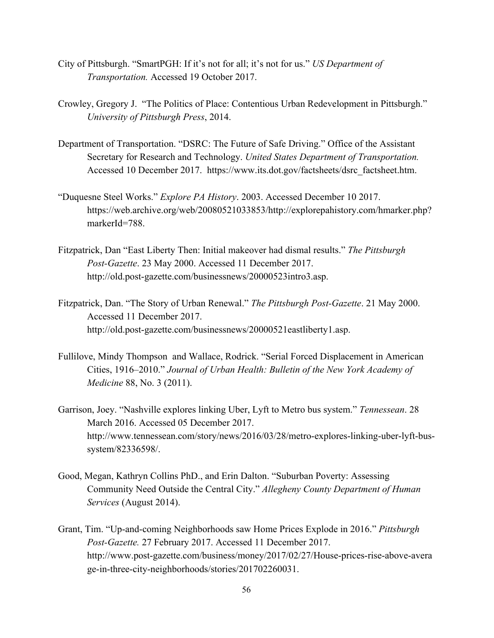- City of Pittsburgh. "SmartPGH: If it's not for all; it's not for us." *US Department of Transportation.* Accessed 19 October 2017.
- Crowley, Gregory J. "The Politics of Place: Contentious Urban Redevelopment in Pittsburgh." *University of Pittsburgh Press*, 2014.
- Department of Transportation. "DSRC: The Future of Safe Driving." Office of the Assistant Secretary for Research and Technology. *United States Department of Transportation.* Accessed 10 December 2017. [https://www.its.dot.gov/factsheets/dsrc\\_factsheet.htm.](https://www.its.dot.gov/factsheets/dsrc_factsheet.htm)
- "Duquesne Steel Works." *Explore PA History*. 2003. Accessed December 10 2017. https://web.archive.org/web/20080521033853/http://explorepahistory.com/hmarker.php? markerId=788.
- Fitzpatrick, Dan "East Liberty Then: Initial makeover had dismal results." *The Pittsburgh Post-Gazette*. 23 May 2000. Accessed 11 December 2017. <http://old.post-gazette.com/businessnews/20000523intro3.asp>.
- Fitzpatrick, Dan. "The Story of Urban Renewal." *The Pittsburgh Post-Gazette*. 21 May 2000. Accessed 11 December 2017. <http://old.post-gazette.com/businessnews/20000521eastliberty1.asp>.
- Fullilove, Mindy Thompson and Wallace, Rodrick. "Serial Forced Displacement in American Cities, 1916–2010." *Journal of Urban Health: Bulletin of the New York Academy of Medicine* 88, No. 3 (2011).
- Garrison, Joey. "Nashville explores linking Uber, Lyft to Metro bus system." *Tennessean*. 28 March 2016. Accessed 05 December 2017. http://www.tennessean.com/story/news/2016/03/28/metro-explores-linking-uber-lyft-bussystem/82336598/.
- Good, Megan, Kathryn Collins PhD., and Erin Dalton. "Suburban Poverty: Assessing Community Need Outside the Central City." *Allegheny County Department of Human Services* (August 2014).
- Grant, Tim. "Up-and-coming Neighborhoods saw Home Prices Explode in 2016." *Pittsburgh Post-Gazette.* 27 February 2017. Accessed 11 December 2017. [http://www.post-gazette.com/business/money/2017/02/27/House-prices-rise-above-avera](http://www.post-gazette.com/business/money/2017/02/27/House-prices-rise-above-average-in-three-city-neighborhoods/stories/201702260031) [ge-in-three-city-neighborhoods/stories/201702260031.](http://www.post-gazette.com/business/money/2017/02/27/House-prices-rise-above-average-in-three-city-neighborhoods/stories/201702260031)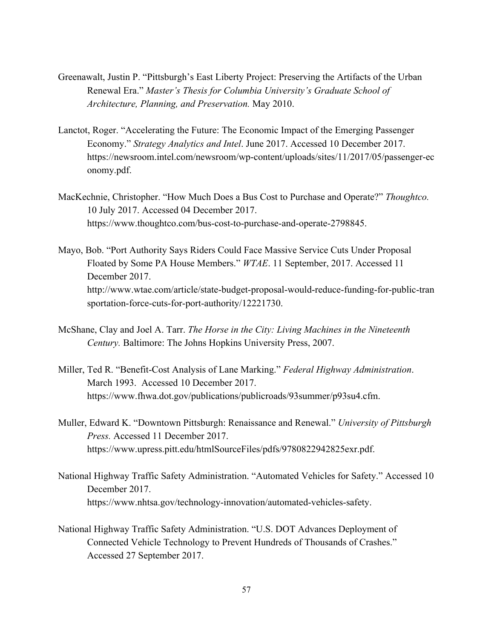- Greenawalt, Justin P. "Pittsburgh's East Liberty Project: Preserving the Artifacts of the Urban Renewal Era." *Master's Thesis for Columbia University's Graduate School of Architecture, Planning, and Preservation.* May 2010.
- Lanctot, Roger. "Accelerating the Future: The Economic Impact of the Emerging Passenger Economy." *Strategy Analytics and Intel*. June 2017. Accessed 10 December 2017[.](https://newsroom.intel.com/newsroom/wp-content/uploads/sites/11/2017/05/passenger-economy.pdf) [https://newsroom.intel.com/newsroom/wp-content/uploads/sites/11/2017/05/passenger-ec](https://newsroom.intel.com/newsroom/wp-content/uploads/sites/11/2017/05/passenger-economy.pdf) [onomy.pdf](https://newsroom.intel.com/newsroom/wp-content/uploads/sites/11/2017/05/passenger-economy.pdf).
- MacKechnie, Christopher. "How Much Does a Bus Cost to Purchase and Operate?" *Thoughtco.* 10 July 2017. Accessed 04 December 2017. https://www.thoughtco.com/bus-cost-to-purchase-and-operate-2798845.
- Mayo, Bob. "Port Authority Says Riders Could Face Massive Service Cuts Under Proposal Floated by Some PA House Members." *WTAE*. 11 September, 2017. Accessed 11 December 2017. [http://www.wtae.com/article/state-budget-proposal-would-reduce-funding-for-public-tran](http://www.wtae.com/article/state-budget-proposal-would-reduce-funding-for-public-transportation-force-cuts-for-port-authority/12221730) [sportation-force-cuts-for-port-authority/12221730.](http://www.wtae.com/article/state-budget-proposal-would-reduce-funding-for-public-transportation-force-cuts-for-port-authority/12221730)
- McShane, Clay and Joel A. Tarr. *The Horse in the City: Living Machines in the Nineteenth Century.* Baltimore: The Johns Hopkins University Press, 2007.
- Miller, Ted R. "Benefit-Cost Analysis of Lane Marking." *Federal Highway Administration*. March 1993. Accessed 10 December 2017. [https://www.fhwa.dot.gov/publications/publicroads/93summer/p93su4.cfm.](https://www.fhwa.dot.gov/publications/publicroads/93summer/p93su4.cfm)
- Muller, Edward K. "Downtown Pittsburgh: Renaissance and Renewal." *University of Pittsburgh Press.* Accessed 11 December 2017. [https://www.upress.pitt.edu/htmlSourceFiles/pdfs/9780822942825exr.pdf.](https://www.upress.pitt.edu/htmlSourceFiles/pdfs/9780822942825exr.pdf)
- National Highway Traffic Safety Administration. "Automated Vehicles for Safety." Accessed 10 December 2017. [https://www.nhtsa.gov/technology-innovation/automated-vehicles-safety.](https://www.nhtsa.gov/technology-innovation/automated-vehicles-safety)
- National Highway Traffic Safety Administration. "U.S. DOT Advances Deployment of Connected Vehicle Technology to Prevent Hundreds of Thousands of Crashes." Accessed 27 September 2017.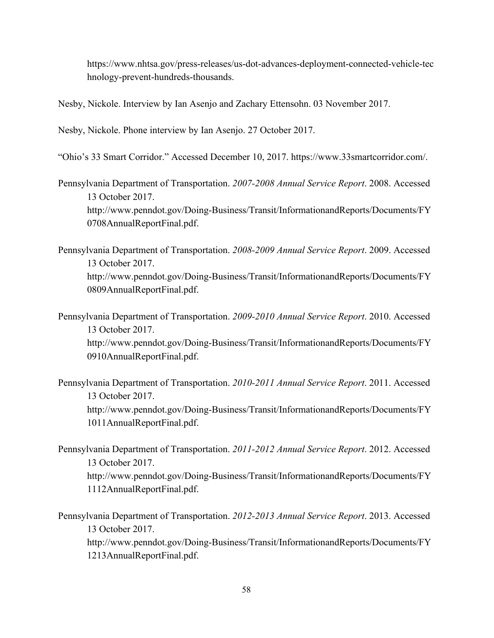[https://www.nhtsa.gov/press-releases/us-dot-advances-deployment-connected-vehicle-tec](https://www.nhtsa.gov/press-releases/us-dot-advances-deployment-connected-vehicle-technology-prevent-hundreds-thousands) [hnology-prevent-hundreds-thousands](https://www.nhtsa.gov/press-releases/us-dot-advances-deployment-connected-vehicle-technology-prevent-hundreds-thousands).

Nesby, Nickole. Interview by Ian Asenjo and Zachary Ettensohn. 03 November 2017.

Nesby, Nickole. Phone interview by Ian Asenjo. 27 October 2017.

"Ohio's 33 Smart Corridor." Accessed December 10, 2017. https://www.33smartcorridor.com/.

Pennsylvania Department of Transportation. *2007-2008 Annual Service Report*. 2008. Accessed 13 October 2017. [http://www.penndot.gov/Doing-Business/Transit/InformationandReports/Documents/FY](http://www.penndot.gov/Doing-Business/Transit/InformationandReports/Documents/FY0708AnnualReportFinal.pdf) [0708AnnualReportFinal.pdf.](http://www.penndot.gov/Doing-Business/Transit/InformationandReports/Documents/FY0708AnnualReportFinal.pdf)

Pennsylvania Department of Transportation. *2008-2009 Annual Service Report*. 2009. Accessed 13 October 2017. [http://www.penndot.gov/Doing-Business/Transit/InformationandReports/Documents/FY](http://www.penndot.gov/Doing-Business/Transit/InformationandReports/Documents/FY0809AnnualReportFinal.pdf) [0809AnnualReportFinal.pdf.](http://www.penndot.gov/Doing-Business/Transit/InformationandReports/Documents/FY0809AnnualReportFinal.pdf)

Pennsylvania Department of Transportation. *2009-2010 Annual Service Report*. 2010. Accessed 13 October 2017. [http://www.penndot.gov/Doing-Business/Transit/InformationandReports/Documents/FY](http://www.penndot.gov/Doing-Business/Transit/InformationandReports/Documents/FY0910AnnualReportFinal.pdf) [0910AnnualReportFinal.pdf.](http://www.penndot.gov/Doing-Business/Transit/InformationandReports/Documents/FY0910AnnualReportFinal.pdf)

Pennsylvania Department of Transportation. *2010-2011 Annual Service Report*. 2011. Accessed 13 October 2017. [http://www.penndot.gov/Doing-Business/Transit/InformationandReports/Documents/FY](http://www.penndot.gov/Doing-Business/Transit/InformationandReports/Documents/FY1011AnnualReportFinal.pdf) [1011AnnualReportFinal.pdf.](http://www.penndot.gov/Doing-Business/Transit/InformationandReports/Documents/FY1011AnnualReportFinal.pdf)

Pennsylvania Department of Transportation. *2011-2012 Annual Service Report*. 2012. Accessed 13 October 2017. [http://www.penndot.gov/Doing-Business/Transit/InformationandReports/Documents/FY](http://www.penndot.gov/Doing-Business/Transit/InformationandReports/Documents/FY1112AnnualReportFinal.pdf) [1112AnnualReportFinal.pdf.](http://www.penndot.gov/Doing-Business/Transit/InformationandReports/Documents/FY1112AnnualReportFinal.pdf)

Pennsylvania Department of Transportation. *2012-2013 Annual Service Report*. 2013. Accessed 13 October 2017. [http://www.penndot.gov/Doing-Business/Transit/InformationandReports/Documents/FY](http://www.penndot.gov/Doing-Business/Transit/InformationandReports/Documents/FY1213AnnualReportFinal.pdf) [1213AnnualReportFinal.pdf.](http://www.penndot.gov/Doing-Business/Transit/InformationandReports/Documents/FY1213AnnualReportFinal.pdf)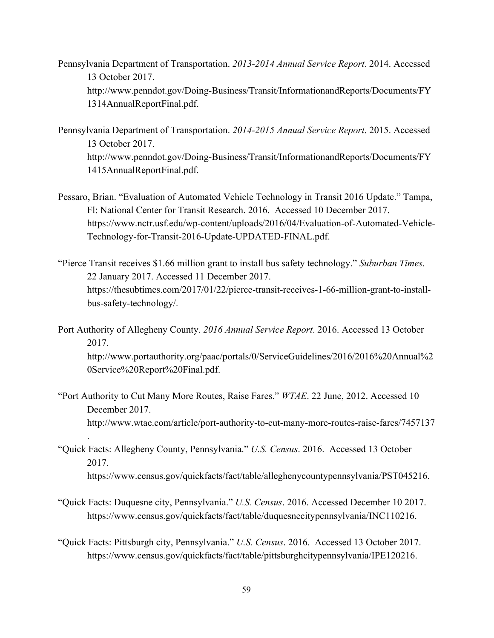Pennsylvania Department of Transportation. *2013-2014 Annual Service Report*. 2014. Accessed 13 October 2017. [http://www.penndot.gov/Doing-Business/Transit/InformationandReports/Documents/FY](http://www.penndot.gov/Doing-Business/Transit/InformationandReports/Documents/FY1314AnnualReportFinal.pdf) [1314AnnualReportFinal.pdf.](http://www.penndot.gov/Doing-Business/Transit/InformationandReports/Documents/FY1314AnnualReportFinal.pdf)

Pennsylvania Department of Transportation. *2014-2015 Annual Service Report*. 2015. Accessed 13 October 2017. [http://www.penndot.gov/Doing-Business/Transit/InformationandReports/Documents/FY](http://www.penndot.gov/Doing-Business/Transit/InformationandReports/Documents/FY1415AnnualReportFinal.pdf) [1415AnnualReportFinal.pdf.](http://www.penndot.gov/Doing-Business/Transit/InformationandReports/Documents/FY1415AnnualReportFinal.pdf)

- Pessaro, Brian. "Evaluation of Automated Vehicle Technology in Transit 2016 Update." Tampa, Fl: National Center for Transit Research. 2016. Accessed 10 December 2017. https://www.nctr.usf.edu/wp-content/uploads/2016/04/Evaluation-of-Automated-Vehicle-Technology-for-Transit-2016-Update-UPDATED-FINAL.pdf.
- "Pierce Transit receives \$1.66 million grant to install bus safety technology." *Suburban Times*. 22 January 2017. Accessed 11 December 2017. [https://thesubtimes.com/2017/01/22/pierce-transit-receives-1-66-million-grant-to-install](https://thesubtimes.com/2017/01/22/pierce-transit-receives-1-66-million-grant-to-install-bus-safety-technology/)[bus-safety-technology/.](https://thesubtimes.com/2017/01/22/pierce-transit-receives-1-66-million-grant-to-install-bus-safety-technology/)

Port Authority of Allegheny County. *2016 Annual Service Report*. 2016. Accessed 13 October 2017. [http://www.portauthority.org/paac/portals/0/ServiceGuidelines/2016/2016%20Annual%2](http://www.portauthority.org/paac/portals/0/ServiceGuidelines/2016/2016%20Annual%20Service%20Report%20Final.pdf) [0Service%20Report%20Final.pdf](http://www.portauthority.org/paac/portals/0/ServiceGuidelines/2016/2016%20Annual%20Service%20Report%20Final.pdf).

- "Port Authority to Cut Many More Routes, Raise Fares." *WTAE*. 22 June, 2012. Accessed 10 December 2017. <http://www.wtae.com/article/port-authority-to-cut-many-more-routes-raise-fares/7457137>
- "Quick Facts: Allegheny County, Pennsylvania." *U.S. Census*. 2016. Accessed 13 October 2017. https://www.census.gov/quickfacts/fact/table/alleghenycountypennsylvania/PST045216.

.

- "Quick Facts: Duquesne city, Pennsylvania." *U.S. Census*. 2016. Accessed December 10 2017. [https://www.census.gov/quickfacts/fact/table/duquesnecitypennsylvania/INC110216.](https://www.census.gov/quickfacts/fact/table/duquesnecitypennsylvania/INC110216)
- "Quick Facts: Pittsburgh city, Pennsylvania." *U.S. Census*. 2016. Accessed 13 October 2017. https://www.census.gov/quickfacts/fact/table/pittsburghcitypennsylvania/IPE120216.